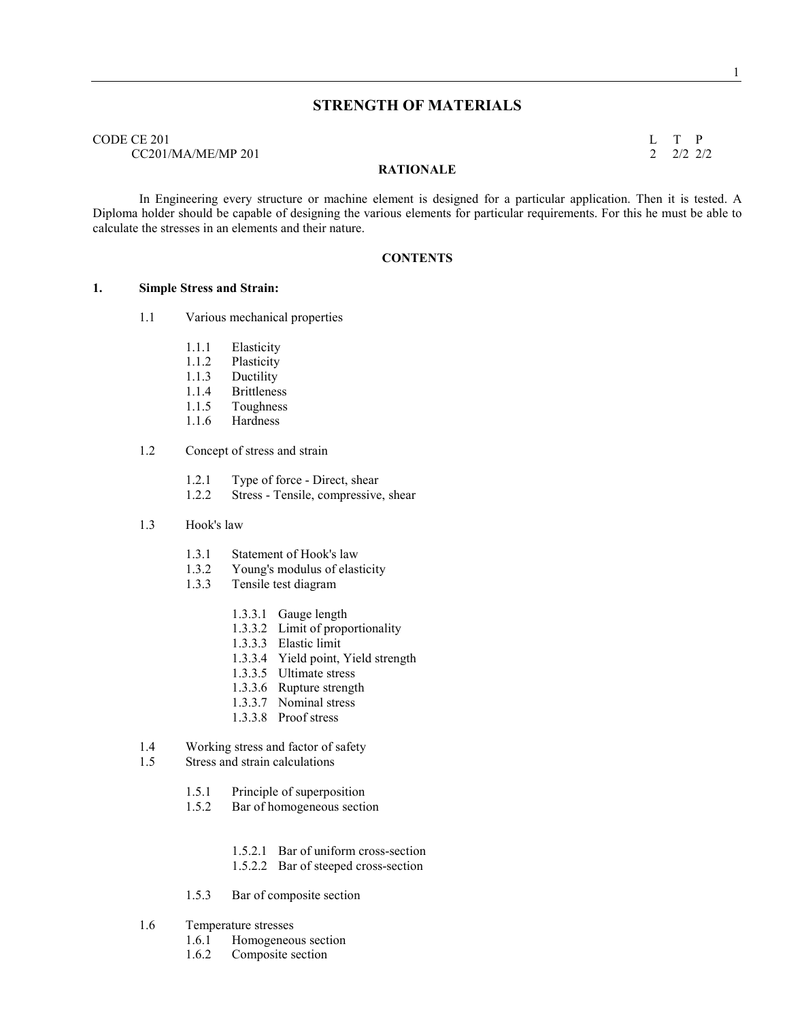# **STRENGTH OF MATERIALS**

CODE CE 201 L T P  $CC201/MA/ME/MP 201$  2 2/2 2/2

#### **RATIOALE**

 In Engineering every structure or machine element is designed for a particular application. Then it is tested. A Diploma holder should be capable of designing the various elements for particular requirements. For this he must be able to calculate the stresses in an elements and their nature.

#### **CONTENTS**

#### **1. Simple Stress and Strain:**

- 1.1 Various mechanical properties
	- 1.1.1 Elasticity
	- 1.1.2 Plasticity
	- 1.1.3 Ductility
	- 1.1.4 Brittleness
	- 1.1.5 Toughness
	- 1.1.6 Hardness

#### 1.2 Concept of stress and strain

- 1.2.1 Type of force Direct, shear
- 1.2.2 Stress Tensile, compressive, shear

#### 1.3 Hook's law

- 1.3.1 Statement of Hook's law<br>1.3.2 Young's modulus of elast
- Young's modulus of elasticity
- 1.3.3 Tensile test diagram
	- 1.3.3.1 Gauge length
	- 1.3.3.2 Limit of proportionality
	- 1.3.3.3 Elastic limit
	- 1.3.3.4 Yield point, Yield strength
	- 1.3.3.5 Ultimate stress
	- 1.3.3.6 Rupture strength
	- 1.3.3.7 Nominal stress
	- 1.3.3.8 Proof stress
- 1.4 Working stress and factor of safety
- 1.5 Stress and strain calculations
	- 1.5.1 Principle of superposition
	- 1.5.2 Bar of homogeneous section
		- 1.5.2.1 Bar of uniform cross-section
		- 1.5.2.2 Bar of steeped cross-section
	- 1.5.3 Bar of composite section
- 1.6 Temperature stresses
	- 1.6.1 Homogeneous section
	- 1.6.2 Composite section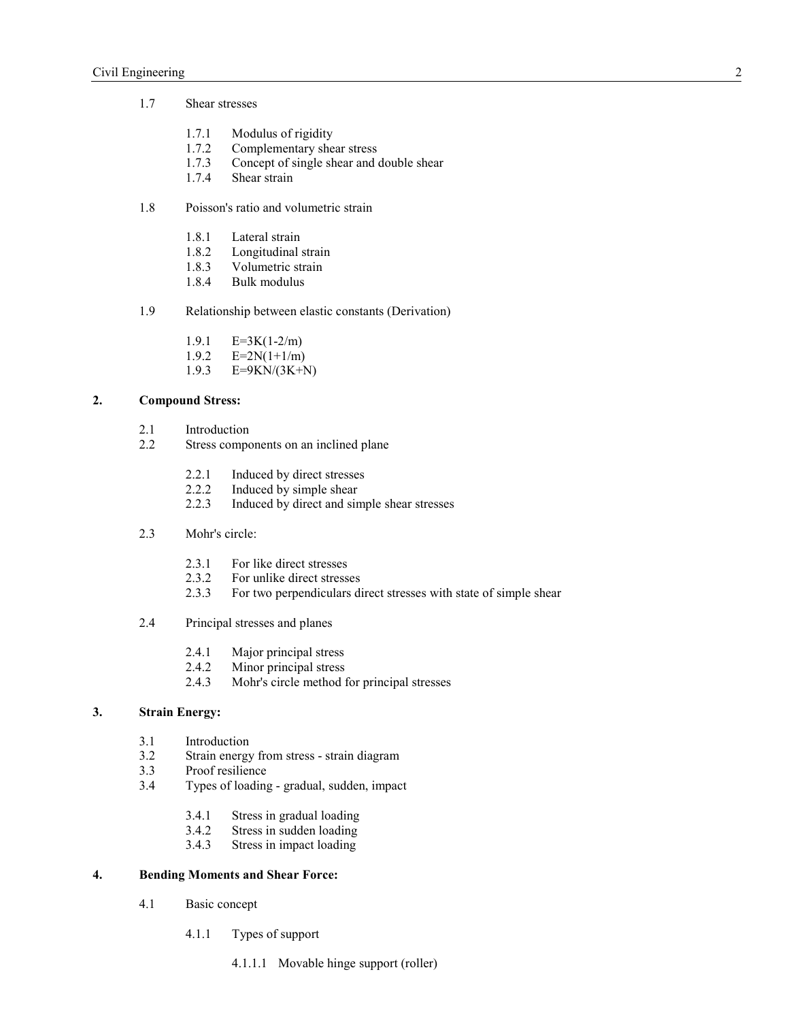- 1.7 Shear stresses
	- 1.7.1 Modulus of rigidity<br>1.7.2 Complementary she
	- 1.7.2 Complementary shear stress<br>1.7.3 Concept of single shear and
	- 1.7.3 Concept of single shear and double shear 1.7.4 Shear strain
	- Shear strain
- 1.8 Poisson's ratio and volumetric strain
	- 1.8.1 Lateral strain
	- 1.8.2 Longitudinal strain<br>1.8.3 Volumetric strain
	- Volumetric strain
	- 1.8.4 Bulk modulus
- 1.9 Relationship between elastic constants (Derivation)
	- 1.9.1  $E=3K(1-2/m)$ <br>1.9.2  $E=2N(1+1/m)$
	- $E=2N(1+1/m)$
	- 1.9.3 E=9KN/(3K+N)

## **2. Compound Stress:**

- 2.1 Introduction<br>2.2 Stress compo
- Stress components on an inclined plane
	- 2.2.1 Induced by direct stresses
	- 2.2.2 Induced by simple shear
	- 2.2.3 Induced by direct and simple shear stresses
- 2.3 Mohr's circle:
	- 2.3.1 For like direct stresses
	- 2.3.2 For unlike direct stresses
	- 2.3.3 For two perpendiculars direct stresses with state of simple shear
- 2.4 Principal stresses and planes
	- 2.4.1 Major principal stress<br>2.4.2 Minor principal stress
	- Minor principal stress
	- 2.4.3 Mohr's circle method for principal stresses

# **3. Strain Energy:**

- 3.1 Introduction
- 3.2 Strain energy from stress strain diagram
- 3.3 Proof resilience
- 3.4 Types of loading gradual, sudden, impact
	- 3.4.1 Stress in gradual loading
	- 3.4.2 Stress in sudden loading<br>3.4.3 Stress in impact loading
	- Stress in impact loading

#### **4. Bending Moments and Shear Force:**

- 4.1 Basic concept
	- 4.1.1 Types of support
		- 4.1.1.1 Movable hinge support (roller)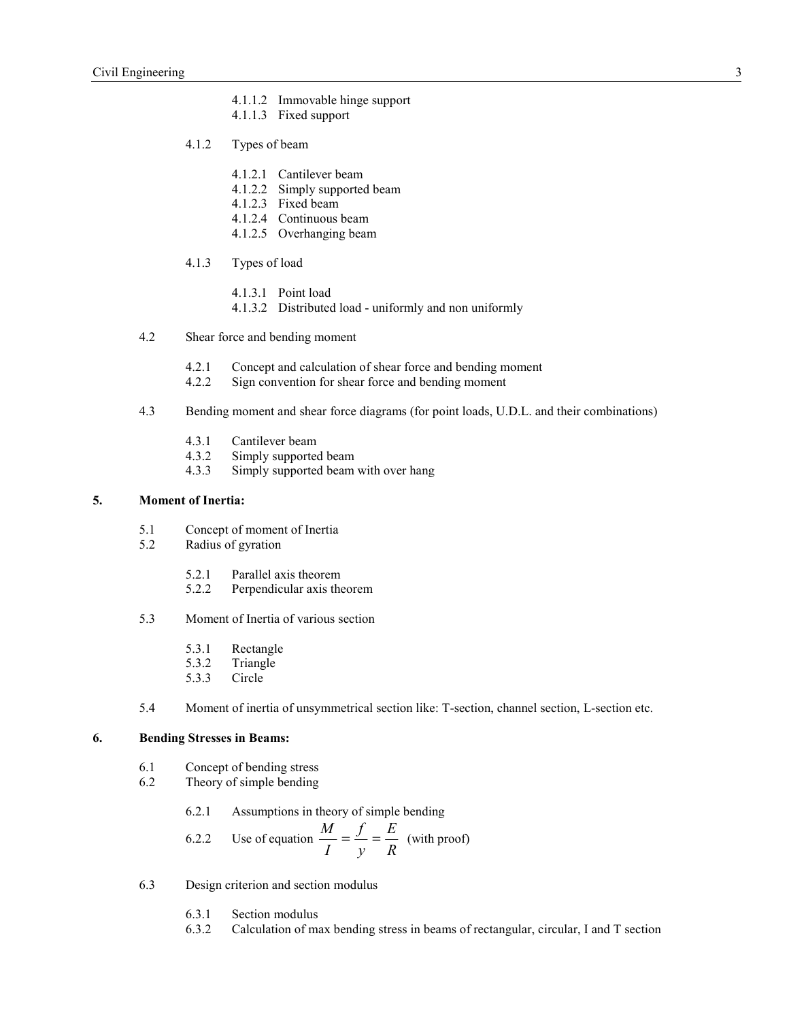- 4.1.1.2 Immovable hinge support
- 4.1.1.3 Fixed support
- 4.1.2 Types of beam
	- 4.1.2.1 Cantilever beam
	- 4.1.2.2 Simply supported beam
	- 4.1.2.3 Fixed beam
	- 4.1.2.4 Continuous beam
	- 4.1.2.5 Overhanging beam
- 4.1.3 Types of load
	- 4.1.3.1 Point load
	- 4.1.3.2 Distributed load uniformly and non uniformly
- 4.2 Shear force and bending moment
	- 4.2.1 Concept and calculation of shear force and bending moment 4.2.2 Sign convention for shear force and bending moment
	- Sign convention for shear force and bending moment
- 4.3 Bending moment and shear force diagrams (for point loads, U.D.L. and their combinations)
	- 4.3.1 Cantilever beam
	- 4.3.2 Simply supported beam<br>4.3.3 Simply supported beam
	- Simply supported beam with over hang

#### **5. Moment of Inertia:**

- 5.1 Concept of moment of Inertia
- 5.2 Radius of gyration
	- 5.2.1 Parallel axis theorem
	- 5.2.2 Perpendicular axis theorem
- 5.3 Moment of Inertia of various section
	- 5.3.1 Rectangle<br>5.3.2 Triangle
	- **Triangle**
	- 5.3.3 Circle
- 5.4 Moment of inertia of unsymmetrical section like: T-section, channel section, L-section etc.

#### **6. Bending Stresses in Beams:**

- 6.1 Concept of bending stress
- 6.2 Theory of simple bending
	- 6.2.1 Assumptions in theory of simple bending

6.2.2 Use of equation 
$$
\frac{M}{I} = \frac{f}{y} = \frac{E}{R}
$$
 (with proof)

- 6.3 Design criterion and section modulus
	- 6.3.1 Section modulus
	- 6.3.2 Calculation of max bending stress in beams of rectangular, circular, I and T section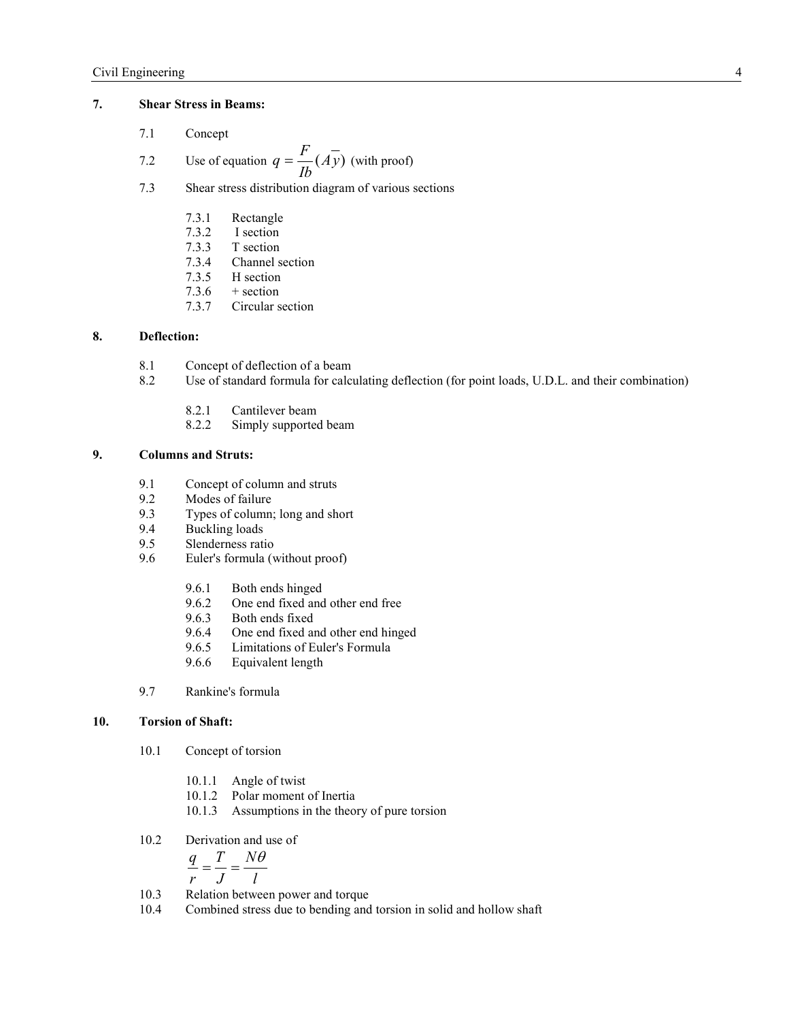## **7. Shear Stress in Beams:**

7.1 Concept

7.2 Use of equation 
$$
q = \frac{F}{Ib}(A\overline{y})
$$
 (with proof)

- 7.3 Shear stress distribution diagram of various sections
	- 7.3.1 Rectangle
	- 7.3.2 I section
	-
	- 7.3.3 T section<br>7.3.4 Channel s 7.3.4 Channel section<br>7.3.5 H section
	-
	- 7.3.5 H section<br>7.3.6 + section
	- 7.3.6  $+$  section<br>7.3.7 Circular s Circular section

# **8. Deflection:**

- 8.1 Concept of deflection of a beam
- 8.2 Use of standard formula for calculating deflection (for point loads, U.D.L. and their combination)
	- 8.2.1 Cantilever beam
	- 8.2.2 Simply supported beam

# **9. Columns and Struts:**

- 9.1 Concept of column and struts<br>9.2 Modes of failure
- Modes of failure
- 9.3 Types of column; long and short<br>9.4 Buckling loads
- Buckling loads
- 9.5 Slenderness ratio
- 9.6 Euler's formula (without proof)
	- 9.6.1 Both ends hinged
	- 9.6.2 One end fixed and other end free<br>9.6.3 Both ends fixed
	- 9.6.3 Both ends fixed<br>9.6.4 One end fixed an
	- 9.6.4 One end fixed and other end hinged
	- 9.6.5 Limitations of Euler's Formula<br>9.6.6 Equivalent length
	- Equivalent length
- 9.7 Rankine's formula

#### **10. Torsion of Shaft:**

- 10.1 Concept of torsion
	- 10.1.1 Angle of twist
	- 10.1.2 Polar moment of Inertia
	- 10.1.3 Assumptions in the theory of pure torsion
- 10.2 Derivation and use of

$$
\frac{q}{r} = \frac{T}{J} = \frac{N\theta}{l}
$$

- 10.3 Relation between power and torque
- 10.4 Combined stress due to bending and torsion in solid and hollow shaft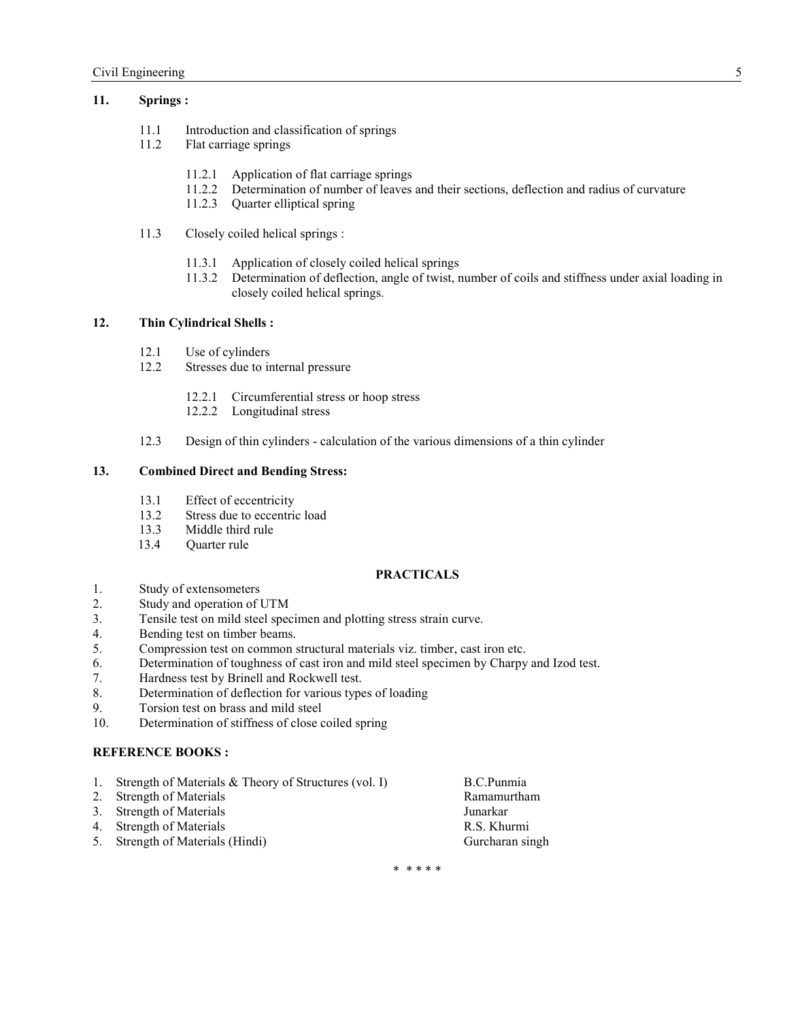## **11. Springs :**

- 11.1 Introduction and classification of springs
- 11.2 Flat carriage springs
	- 11.2.1 Application of flat carriage springs
	- 11.2.2 Determination of number of leaves and their sections, deflection and radius of curvature
	- 11.2.3 Quarter elliptical spring
- 11.3 Closely coiled helical springs :
	- 11.3.1 Application of closely coiled helical springs
	- 11.3.2 Determination of deflection, angle of twist, number of coils and stiffness under axial loading in closely coiled helical springs.

## **12. Thin Cylindrical Shells :**

- 12.1 Use of cylinders
- 12.2 Stresses due to internal pressure
	- 12.2.1 Circumferential stress or hoop stress
	- 12.2.2 Longitudinal stress
- 12.3 Design of thin cylinders calculation of the various dimensions of a thin cylinder

## **13. Combined Direct and Bending Stress:**

- 13.1 Effect of eccentricity<br>13.2 Stress due to eccentric
- Stress due to eccentric load
- 13.3 Middle third rule
- 13.4 Quarter rule

## **PRACTICALS**

- 1. Study of extensometers<br>2. Study and operation of I
- Study and operation of UTM
- 3. Tensile test on mild steel specimen and plotting stress strain curve.
- 4. Bending test on timber beams.<br>5. Compression test on common s
- 5. Compression test on common structural materials viz. timber, cast iron etc.
- 6. Determination of toughness of cast iron and mild steel specimen by Charpy and Izod test.
- 7. Hardness test by Brinell and Rockwell test.
- 8. Determination of deflection for various types of loading
- 9. Torsion test on brass and mild steel
- 10. Determination of stiffness of close coiled spring

#### **REFERENCE BOOKS :**

- 1. Strength of Materials & Theory of Structures (vol. I) B.C.Punmia
- 2. Strength of Materials **Ramamurtham** Ramamurtham
- 3. Strength of Materials Junarkar
- 4. Strength of Materials R.S. Khurmi
- 5. Strength of Materials (Hindi) Gurcharan singh

\* \* \* \* \*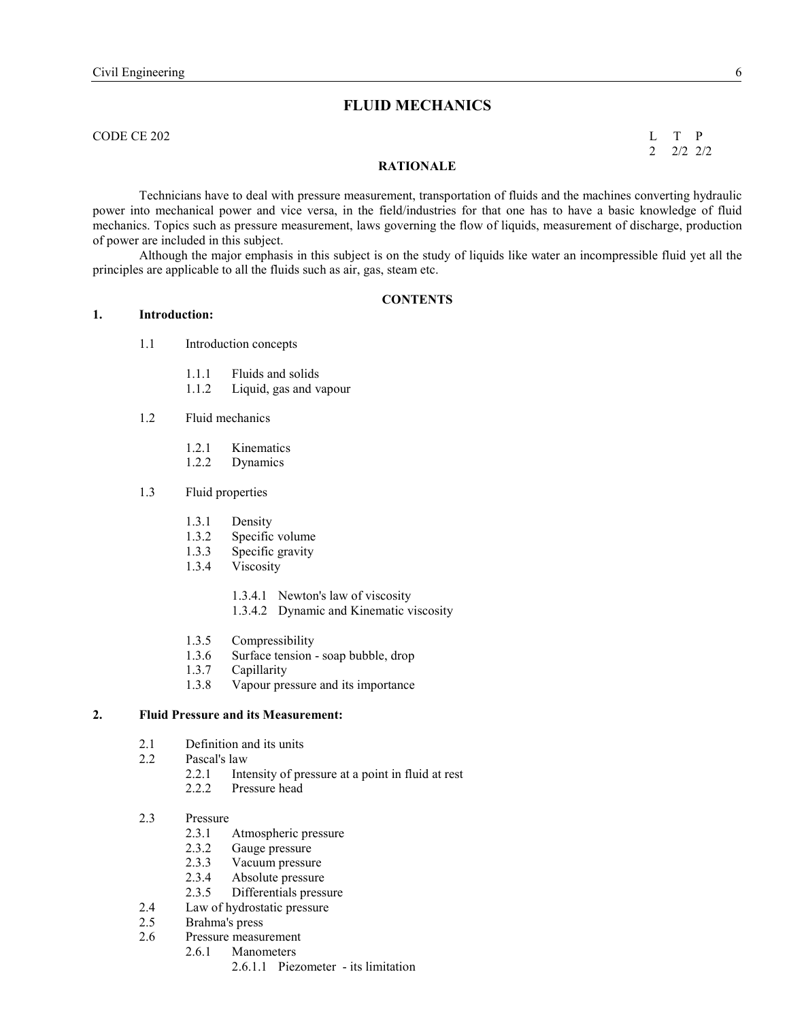# **FLUID MECHANICS**

CODE CE 202 L T P

 $2 \t2 \t2 \t2 \t2$ 

#### **RATIONALE**

Technicians have to deal with pressure measurement, transportation of fluids and the machines converting hydraulic power into mechanical power and vice versa, in the field/industries for that one has to have a basic knowledge of fluid mechanics. Topics such as pressure measurement, laws governing the flow of liquids, measurement of discharge, production of power are included in this subject.

 Although the major emphasis in this subject is on the study of liquids like water an incompressible fluid yet all the principles are applicable to all the fluids such as air, gas, steam etc.

#### **CONTENTS**

- **1. Introduction:** 
	- 1.1 Introduction concepts
		- 1.1.1 Fluids and solids
		- 1.1.2 Liquid, gas and vapour
	- 1.2 Fluid mechanics
		- 1.2.1 Kinematics
		- 1.2.2 Dynamics

### 1.3 Fluid properties

- 1.3.1 Density<br>1.3.2 Specific
- Specific volume
- 1.3.3 Specific gravity
- 1.3.4 Viscosity
	- 1.3.4.1 Newton's law of viscosity
	- 1.3.4.2 Dynamic and Kinematic viscosity
- 1.3.5 Compressibility
- 1.3.6 Surface tension soap bubble, drop
- 1.3.7 Capillarity
- 1.3.8 Vapour pressure and its importance

## **2. Fluid Pressure and its Measurement:**

- 2.1 Definition and its units
- 2.2 Pascal's law
	- 2.2.1 Intensity of pressure at a point in fluid at rest
	- 2.2.2 Pressure head
- 2.3 Pressure
	- 2.3.1 Atmospheric pressure
	- 2.3.2 Gauge pressure
	-
	- 2.3.3 Vacuum pressure<br>2.3.4 Absolute pressure
	- 2.3.4 Absolute pressure<br>2.3.5 Differentials press Differentials pressure
- 2.4 Law of hydrostatic pressure
- 2.5 Brahma's press
- 2.6 Pressure measurement
	- 2.6.1 Manometers
		- 2.6.1.1 Piezometer its limitation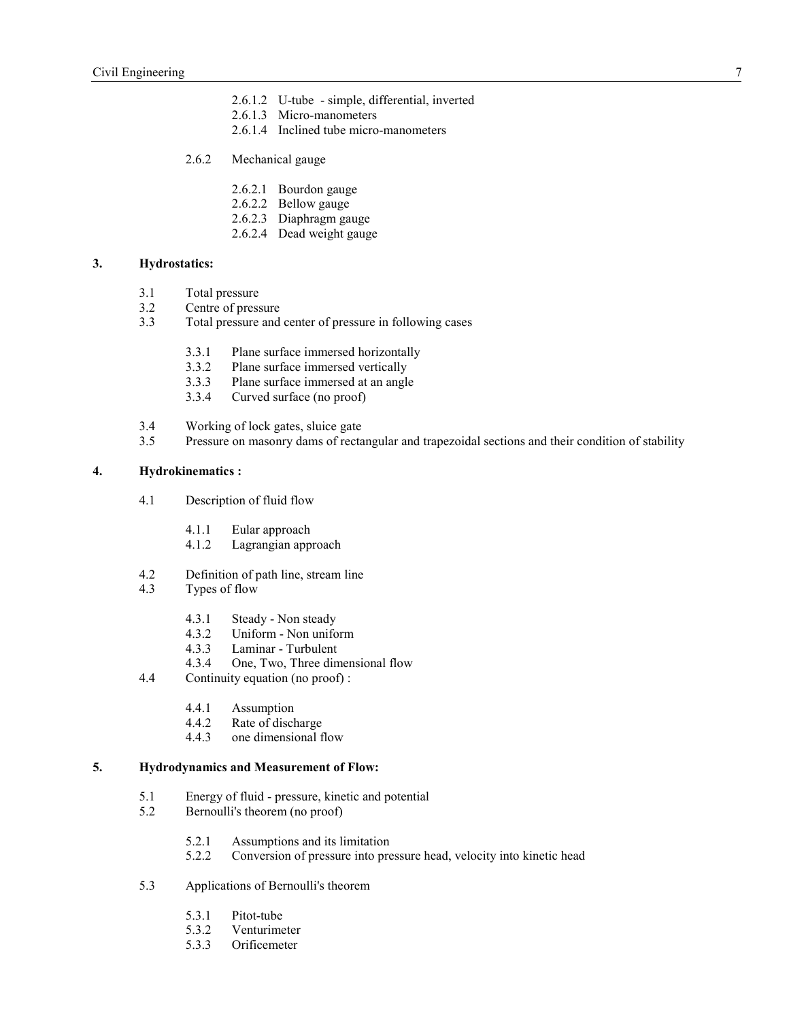- 2.6.1.2 U-tube simple, differential, inverted
- 2.6.1.3 Micro-manometers
- 2.6.1.4 Inclined tube micro-manometers
- 2.6.2 Mechanical gauge
	- 2.6.2.1 Bourdon gauge
	- 2.6.2.2 Bellow gauge
	- 2.6.2.3 Diaphragm gauge
	- 2.6.2.4 Dead weight gauge

#### **3. Hydrostatics:**

- 3.1 Total pressure
- 3.2 Centre of pressure
- 3.3 Total pressure and center of pressure in following cases
	- 3.3.1 Plane surface immersed horizontally
	- 3.3.2 Plane surface immersed vertically<br>3.3.3 Plane surface immersed at an angle
	- Plane surface immersed at an angle
	- 3.3.4 Curved surface (no proof)
- 3.4 Working of lock gates, sluice gate
- 3.5 Pressure on masonry dams of rectangular and trapezoidal sections and their condition of stability

## **4. Hydrokinematics :**

- 4.1 Description of fluid flow
	- 4.1.1 Eular approach
	- 4.1.2 Lagrangian approach
- 4.2 Definition of path line, stream line
- 4.3 Types of flow
	- 4.3.1 Steady Non steady
	- 4.3.2 Uniform Non uniform<br>4.3.3 Laminar Turbulent
	- Laminar Turbulent
	- 4.3.4 One, Two, Three dimensional flow
- 4.4 Continuity equation (no proof) :
	- 4.4.1 Assumption
	- 4.4.2 Rate of discharge<br>4.4.3 one dimensional f
	- one dimensional flow

#### **5. Hydrodynamics and Measurement of Flow:**

- 5.1 Energy of fluid pressure, kinetic and potential
- 5.2 Bernoulli's theorem (no proof)
	- 5.2.1 Assumptions and its limitation
	- 5.2.2 Conversion of pressure into pressure head, velocity into kinetic head
- 5.3 Applications of Bernoulli's theorem
	- 5.3.1 Pitot-tube<br>5.3.2 Venturime
	- 5.3.2 Venturimeter<br>5.3.3 Orificemeter
	- **Orificemeter**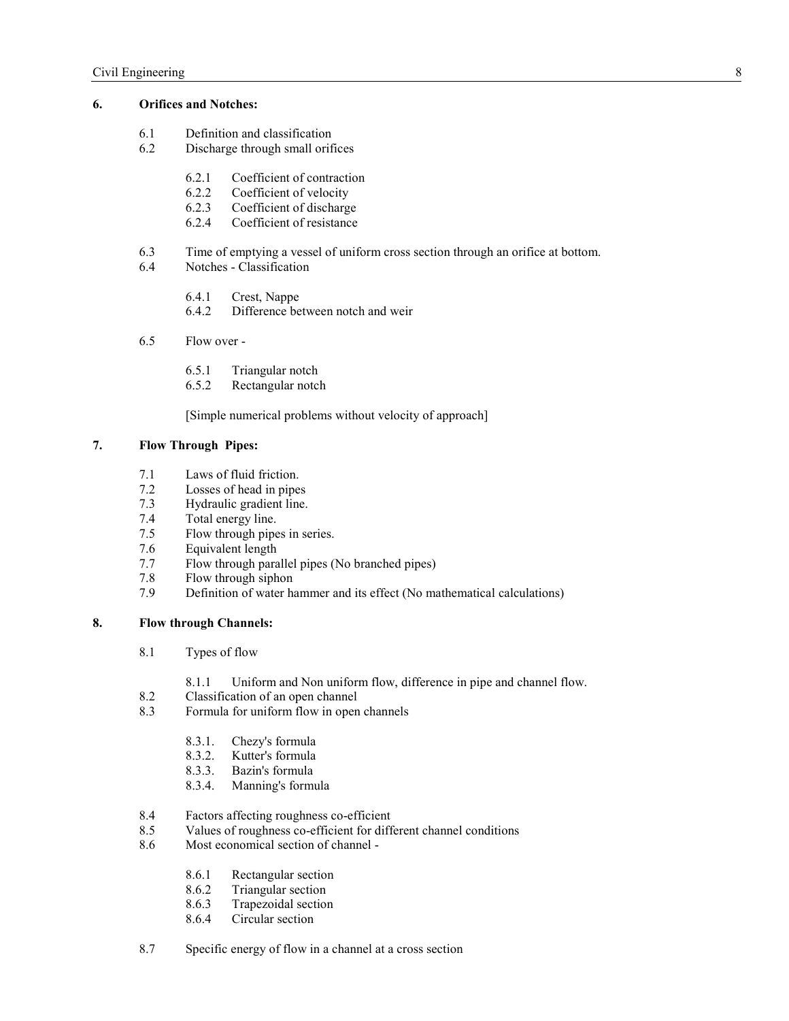## **6.** Orifices and Notches:

- 6.1 Definition and classification<br>6.2 Discharge through small orif
- Discharge through small orifices
	- 6.2.1 Coefficient of contraction
	- 6.2.2 Coefficient of velocity
	- 6.2.3 Coefficient of discharge
	- 6.2.4 Coefficient of resistance
- 6.3 Time of emptying a vessel of uniform cross section through an orifice at bottom.<br>6.4 Notches Classification
- Notches Classification
	- 6.4.1 Crest, Nappe<br>6.4.2 Difference be
	- Difference between notch and weir
- 6.5 Flow over
	- 6.5.1 Triangular notch
	- 6.5.2 Rectangular notch

[Simple numerical problems without velocity of approach]

## **7. Flow Through Pipes:**

- 7.1 Laws of fluid friction.<br>7.2 Losses of head in pipe
- Losses of head in pipes
- 7.3 Hydraulic gradient line.
- 7.4 Total energy line.<br>7.5 Flow through pipe
- Flow through pipes in series.
- 7.6 Equivalent length
- 7.7 Flow through parallel pipes (No branched pipes)
- 7.8 Flow through siphon
- 7.9 Definition of water hammer and its effect (No mathematical calculations)

#### **8. Flow through Channels:**

- 8.1 Types of flow
	- 8.1.1 Uniform and Non uniform flow, difference in pipe and channel flow.
- 8.2 Classification of an open channel
- 8.3 Formula for uniform flow in open channels
	- 8.3.1. Chezy's formula
	- 8.3.2. Kutter's formula
	- 8.3.3. Bazin's formula
	- 8.3.4. Manning's formula
- 8.4 Factors affecting roughness co-efficient
- 8.5 Values of roughness co-efficient for different channel conditions<br>8.6 Most economical section of channel -
- Most economical section of channel -
	- 8.6.1 Rectangular section<br>8.6.2 Triangular section
	- Triangular section
	- 8.6.3 Trapezoidal section
	- 8.6.4 Circular section
- 8.7 Specific energy of flow in a channel at a cross section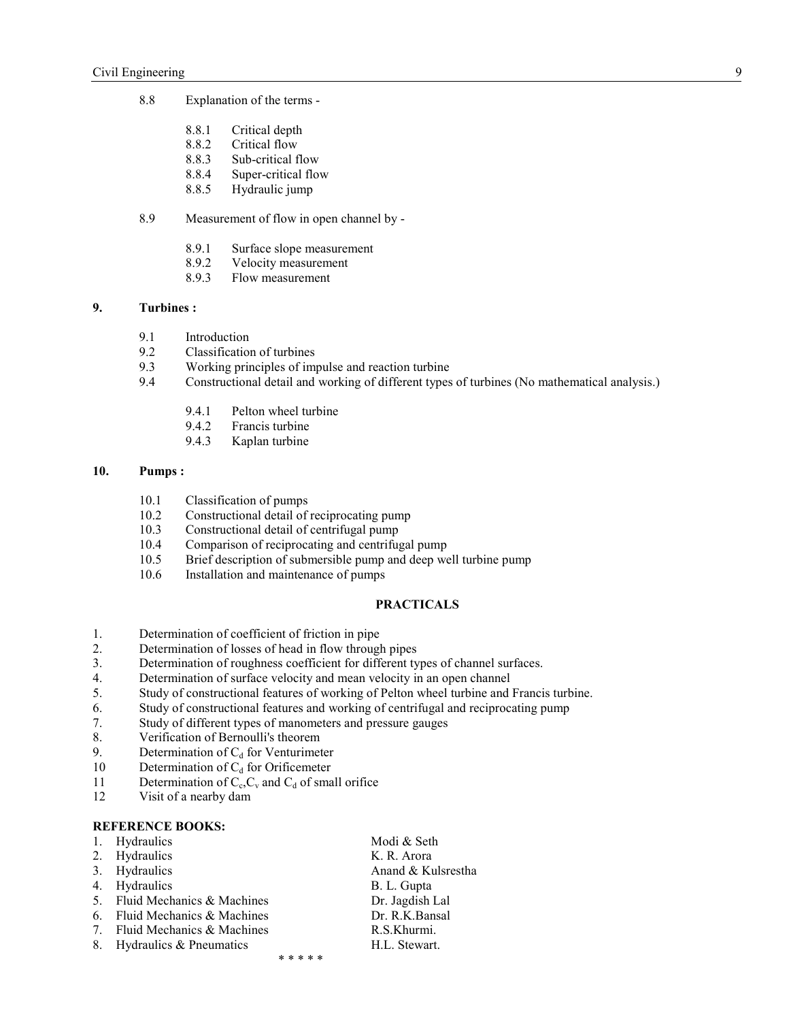- 8.8 Explanation of the terms
	- 8.8.1 Critical depth
	- 8.8.2 Critical flow
	- 8.8.3 Sub-critical flow
	- 8.8.4 Super-critical flow
	- 8.8.5 Hydraulic jump

## 8.9 Measurement of flow in open channel by -

- 8.9.1 Surface slope measurement
- 8.9.2 Velocity measurement
- 8.9.3 Flow measurement

#### **9. Turbines :**

- 9.1 Introduction
- 9.2 Classification of turbines
- 9.3 Working principles of impulse and reaction turbine<br>9.4 Constructional detail and working of different types
- 9.4 Constructional detail and working of different types of turbines (No mathematical analysis.)
	- 9.4.1 Pelton wheel turbine<br>9.4.2 Francis turbine
	- 9.4.2 Francis turbine
	- 9.4.3 Kaplan turbine

## **10. Pumps :**

- 10.1 Classification of pumps<br>10.2 Constructional detail of
- Constructional detail of reciprocating pump
- 10.3 Constructional detail of centrifugal pump
- 10.4 Comparison of reciprocating and centrifugal pump<br>10.5 Brief description of submersible pump and deep we
- Brief description of submersible pump and deep well turbine pump
- 10.6 Installation and maintenance of pumps

## **PRACTICALS**

- 1. Determination of coefficient of friction in pipe<br>2. Determination of losses of head in flow through
- Determination of losses of head in flow through pipes
- 3. Determination of roughness coefficient for different types of channel surfaces.
- 4. Determination of surface velocity and mean velocity in an open channel
- 5. Study of constructional features of working of Pelton wheel turbine and Francis turbine.
- 6. Study of constructional features and working of centrifugal and reciprocating pump
- 7. Study of different types of manometers and pressure gauges
- 8. Verification of Bernoulli's theorem
- 9. Determination of  $C_d$  for Venturimeter<br>10 Determination of  $C_d$  for Orificemeter
- Determination of  $C_d$  for Orificemeter
- 11 Determination of  $C_c$ ,  $C_v$  and  $C_d$  of small orifice
- 12 Visit of a nearby dam

#### **REFERENCE BOOKS:**

|                | 1. Hydraulics              |           | Modi & Seth        |
|----------------|----------------------------|-----------|--------------------|
| 2.             | Hydraulics                 |           | K. R. Arora        |
| 3.             | Hydraulics                 |           | Anand & Kulsrestha |
| 4.             | Hydraulics                 |           | B. L. Gupta        |
| 5 <sub>1</sub> | Fluid Mechanics & Machines |           | Dr. Jagdish Lal    |
| 6.             | Fluid Mechanics & Machines |           | Dr. R.K.Bansal     |
| $7\phantom{0}$ | Fluid Mechanics & Machines |           | R.S.Khurmi.        |
| 8.             | Hydraulics & Pneumatics    |           | H.L. Stewart.      |
|                |                            | * * * * * |                    |
|                |                            |           |                    |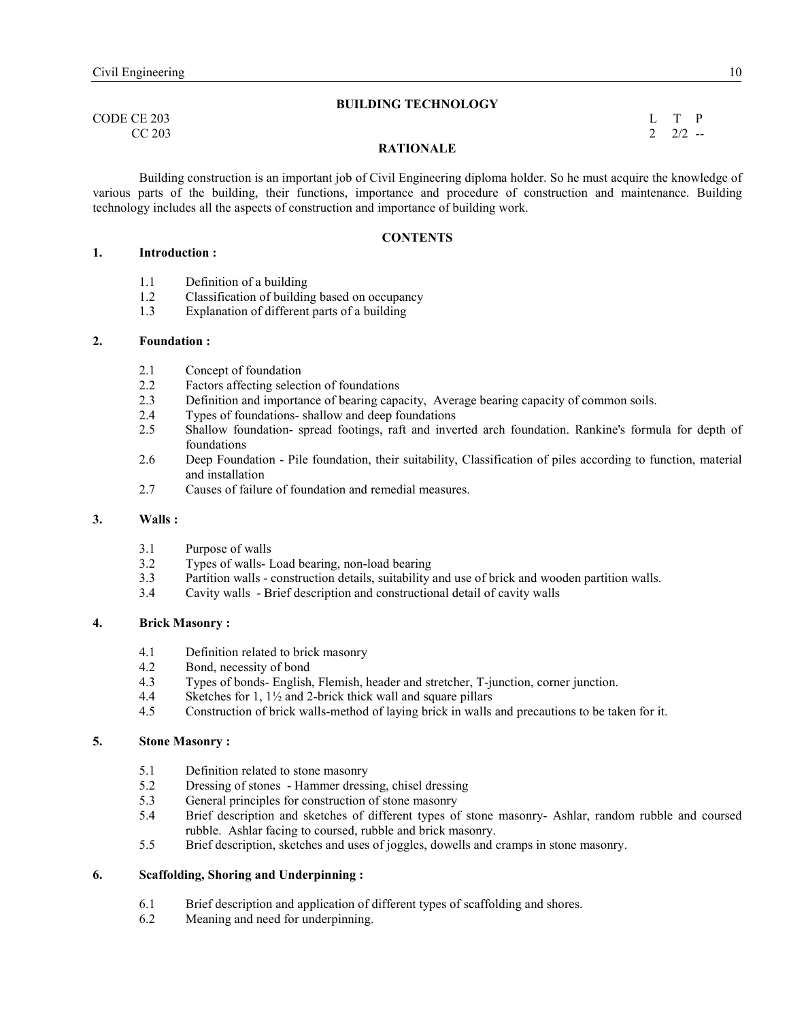#### **BUILDIG TECHOLOGY**

CODE CE 203 L T P  $CC\,203$  2 2/2 --

## **RATIONALE**

Building construction is an important job of Civil Engineering diploma holder. So he must acquire the knowledge of various parts of the building, their functions, importance and procedure of construction and maintenance. Building technology includes all the aspects of construction and importance of building work.

#### **CONTENTS**

## **1. Introduction :**

- 1.1 Definition of a building
- 1.2 Classification of building based on occupancy
- 1.3 Explanation of different parts of a building

#### **2. Foundation :**

- 2.1 Concept of foundation
- 2.2 Factors affecting selection of foundations<br>2.3 Definition and importance of bearing capa
- 2.3 Definition and importance of bearing capacity, Average bearing capacity of common soils.
- 2.4 Types of foundations- shallow and deep foundations
- 2.5 Shallow foundation- spread footings, raft and inverted arch foundation. Rankine's formula for depth of foundations
- 2.6 Deep Foundation Pile foundation, their suitability, Classification of piles according to function, material and installation
- 2.7 Causes of failure of foundation and remedial measures.

#### **3. Walls :**

- 3.1 Purpose of walls
- 3.2 Types of walls- Load bearing, non-load bearing
- 3.3 Partition walls construction details, suitability and use of brick and wooden partition walls.
- 3.4 Cavity walls Brief description and constructional detail of cavity walls

## **4. Brick Masonry :**

- 4.1 Definition related to brick masonry<br>4.2 Bond necessity of bond
- Bond, necessity of bond
- 4.3 Types of bonds- English, Flemish, header and stretcher, T-junction, corner junction.
- 4.4 Sketches for 1,  $1\frac{1}{2}$  and 2-brick thick wall and square pillars  $4.5$  Construction of brick walls-method of laving brick in walls
- 4.5 Construction of brick walls-method of laying brick in walls and precautions to be taken for it.

#### **5. Stone Masonry :**

- 5.1 Definition related to stone masonry
- 5.2 Dressing of stones Hammer dressing, chisel dressing<br>5.3 General principles for construction of stone masonry
- General principles for construction of stone masonry
- 5.4 Brief description and sketches of different types of stone masonry- Ashlar, random rubble and coursed rubble. Ashlar facing to coursed, rubble and brick masonry.
- 5.5 Brief description, sketches and uses of joggles, dowells and cramps in stone masonry.

#### **6. Scaffolding, Shoring and Underpinning :**

- 6.1 Brief description and application of different types of scaffolding and shores.
- 6.2 Meaning and need for underpinning.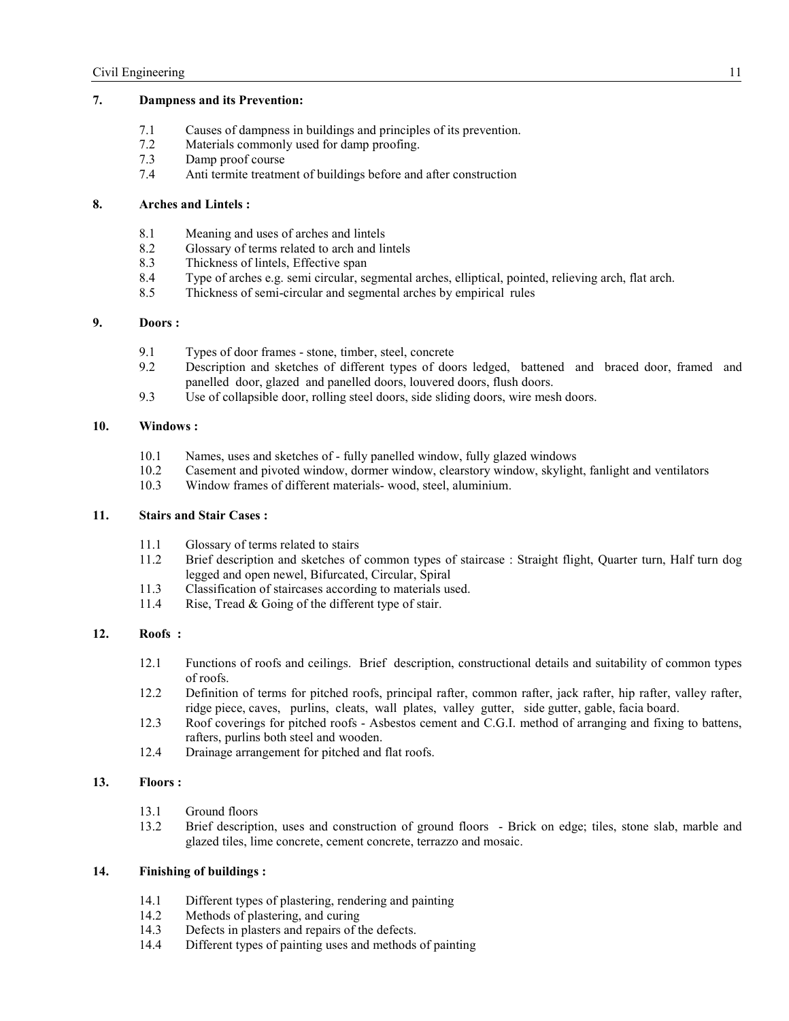# **7. Dampness and its Prevention:**

- 7.1 Causes of dampness in buildings and principles of its prevention.
- 7.2 Materials commonly used for damp proofing.
- 7.3 Damp proof course
- 7.4 Anti termite treatment of buildings before and after construction

# **8. Arches and Lintels :**

- 8.1 Meaning and uses of arches and lintels<br>8.2 Glossary of terms related to arch and lin
- Glossary of terms related to arch and lintels
- 8.3 Thickness of lintels, Effective span
- 8.4 Type of arches e.g. semi circular, segmental arches, elliptical, pointed, relieving arch, flat arch.<br>8.5 Thickness of semi-circular and segmental arches by empirical rules
- Thickness of semi-circular and segmental arches by empirical rules

# **9. Doors :**

- 9.1 Types of door frames stone, timber, steel, concrete
- 9.2 Description and sketches of different types of doors ledged, battened and braced door, framed and panelled door, glazed and panelled doors, louvered doors, flush doors.
- 9.3 Use of collapsible door, rolling steel doors, side sliding doors, wire mesh doors.

## **10. Windows :**

- 10.1 Names, uses and sketches of fully panelled window, fully glazed windows 10.2 Casement and pivoted window dormer window clearstory window, skylight
- 10.2 Casement and pivoted window, dormer window, clearstory window, skylight, fanlight and ventilators
- 10.3 Window frames of different materials- wood, steel, aluminium.

# **11. Stairs and Stair Cases :**

- 11.1 Glossary of terms related to stairs<br>11.2 Brief description and sketches of
- 11.2 Brief description and sketches of common types of staircase : Straight flight, Quarter turn, Half turn dog legged and open newel, Bifurcated, Circular, Spiral
- 11.3 Classification of staircases according to materials used.<br>11.4 Rise Tread & Going of the different type of stair
- Rise, Tread  $& Going$  of the different type of stair.

## **12. Roofs :**

- 12.1 Functions of roofs and ceilings. Brief description, constructional details and suitability of common types of roofs.
- 12.2 Definition of terms for pitched roofs, principal rafter, common rafter, jack rafter, hip rafter, valley rafter, ridge piece, caves, purlins, cleats, wall plates, valley gutter, side gutter, gable, facia board.
- 12.3 Roof coverings for pitched roofs Asbestos cement and C.G.I. method of arranging and fixing to battens, rafters, purlins both steel and wooden.
- 12.4 Drainage arrangement for pitched and flat roofs.

## **13. Floors :**

- 13.1 Ground floors
- 13.2 Brief description, uses and construction of ground floors Brick on edge; tiles, stone slab, marble and glazed tiles, lime concrete, cement concrete, terrazzo and mosaic.

## **14. Finishing of buildings :**

- 14.1 Different types of plastering, rendering and painting 14.2 Methods of plastering, and curing
- 14.2 Methods of plastering, and curing<br>14.3 Defects in plasters and renairs of t
- Defects in plasters and repairs of the defects.
- 14.4 Different types of painting uses and methods of painting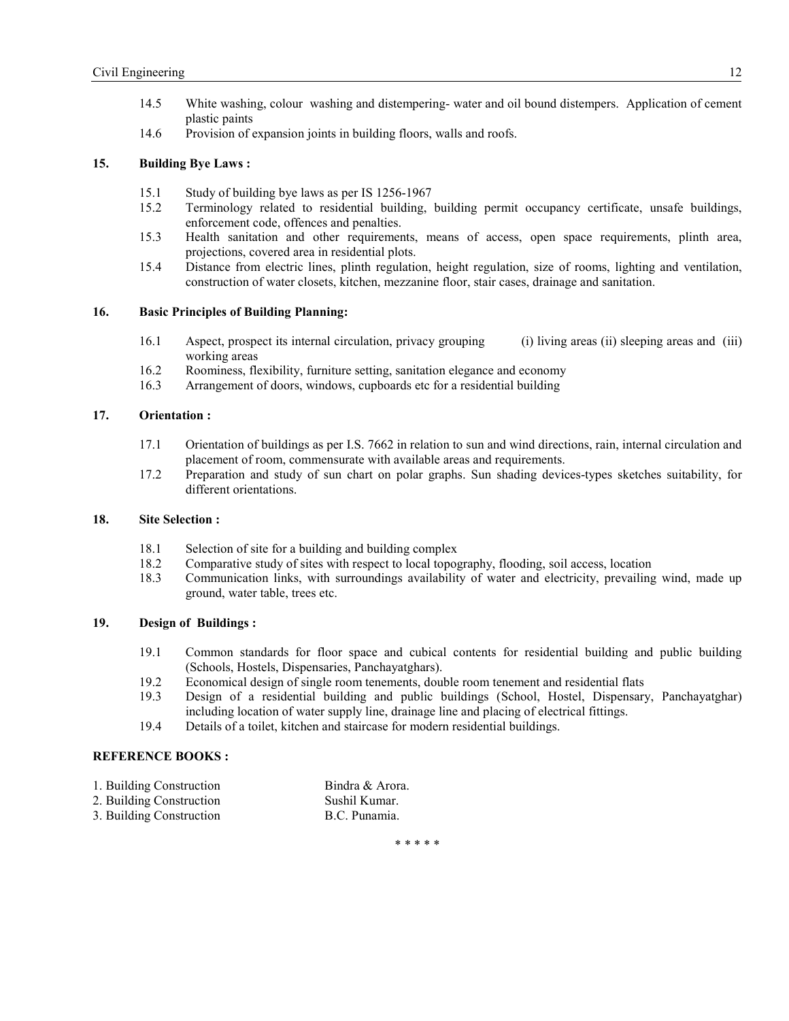- 14.5 White washing, colour washing and distempering- water and oil bound distempers. Application of cement plastic paints
- 14.6 Provision of expansion joints in building floors, walls and roofs.

### **15. Building Bye Laws :**

- 15.1 Study of building bye laws as per IS 1256-1967
- 15.2 Terminology related to residential building, building permit occupancy certificate, unsafe buildings, enforcement code, offences and penalties.
- 15.3 Health sanitation and other requirements, means of access, open space requirements, plinth area, projections, covered area in residential plots.
- 15.4 Distance from electric lines, plinth regulation, height regulation, size of rooms, lighting and ventilation, construction of water closets, kitchen, mezzanine floor, stair cases, drainage and sanitation.

# **16. Basic Principles of Building Planning:**

- 16.1 Aspect, prospect its internal circulation, privacy grouping (i) living areas (ii) sleeping areas and (iii) working areas
- 16.2 Roominess, flexibility, furniture setting, sanitation elegance and economy
- 16.3 Arrangement of doors, windows, cupboards etc for a residential building

## **17. Orientation :**

- 17.1 Orientation of buildings as per I.S. 7662 in relation to sun and wind directions, rain, internal circulation and placement of room, commensurate with available areas and requirements.
- 17.2 Preparation and study of sun chart on polar graphs. Sun shading devices-types sketches suitability, for different orientations.

## **18. Site Selection :**

- 18.1 Selection of site for a building and building complex
- 18.2 Comparative study of sites with respect to local topography, flooding, soil access, location
- 18.3 Communication links, with surroundings availability of water and electricity, prevailing wind, made up ground, water table, trees etc.

## **19. Design of Buildings :**

- 19.1 Common standards for floor space and cubical contents for residential building and public building (Schools, Hostels, Dispensaries, Panchayatghars).
- 19.2 Economical design of single room tenements, double room tenement and residential flats
- 19.3 Design of a residential building and public buildings (School, Hostel, Dispensary, Panchayatghar) including location of water supply line, drainage line and placing of electrical fittings.
- 19.4 Details of a toilet, kitchen and staircase for modern residential buildings.

#### **REFERENCE BOOKS:**

| 1. Building Construction | Bindra & Arora. |
|--------------------------|-----------------|
| 2. Building Construction | Sushil Kumar.   |
| 3. Building Construction | B.C. Punamia.   |

\* \* \* \* \*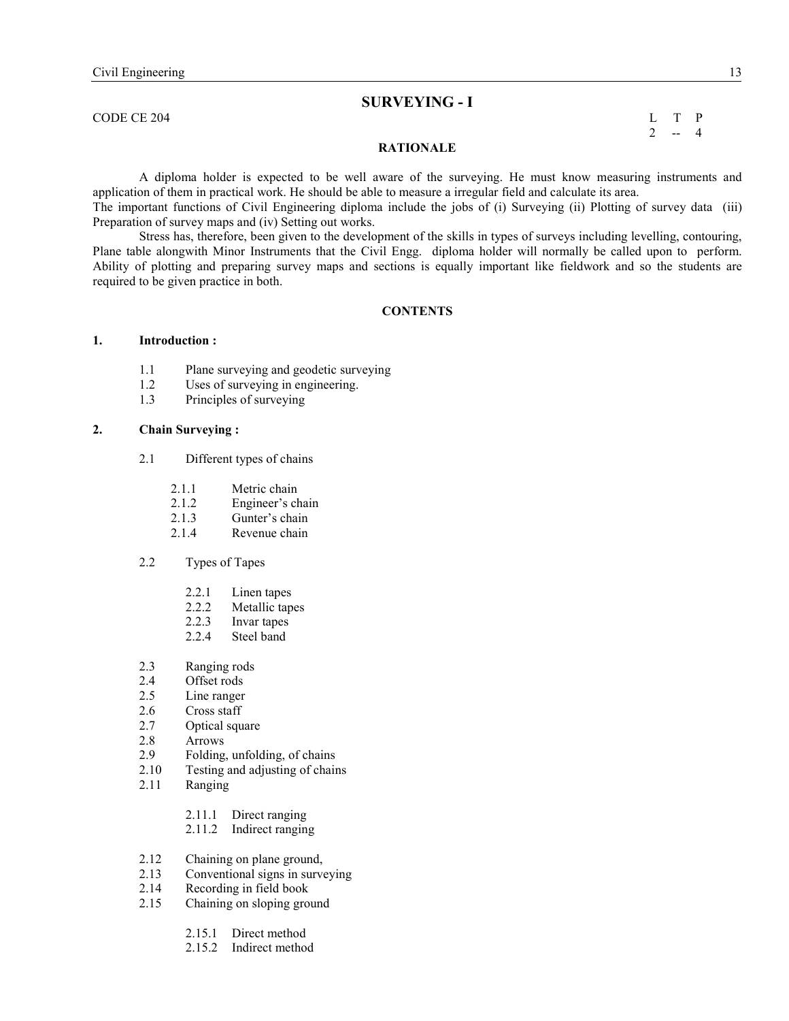# **SURVEYIG - I**

 $\Box$  CODE CE 204 L T P

 $2 - 4$ 

#### **RATIONALE**

 A diploma holder is expected to be well aware of the surveying. He must know measuring instruments and application of them in practical work. He should be able to measure a irregular field and calculate its area.

The important functions of Civil Engineering diploma include the jobs of (i) Surveying (ii) Plotting of survey data (iii) Preparation of survey maps and (iv) Setting out works.

Stress has, therefore, been given to the development of the skills in types of surveys including levelling, contouring, Plane table alongwith Minor Instruments that the Civil Engg. diploma holder will normally be called upon to perform. Ability of plotting and preparing survey maps and sections is equally important like fieldwork and so the students are required to be given practice in both.

#### **CONTENTS**

## **1. Introduction :**

- 1.1 Plane surveying and geodetic surveying<br>1.2 Uses of surveying in engineering.
- Uses of surveying in engineering.
- 1.3 Principles of surveying

## **2. Chain Surveying :**

- 2.1 Different types of chains
	- 2.1.1 Metric chain
	- 2.1.2 Engineer's chain<br>2.1.3 Gunter's chain
	- Gunter's chain
	- 2.1.4 Revenue chain
- 2.2 Types of Tapes
	- 2.2.1 Linen tapes<br>2.2.2 Metallic tap
	- Metallic tapes
	- 2.2.3 Invar tapes
	- 2.2.4 Steel band
- 2.3 Ranging rods
- 2.4 Offset rods<br>2.5 Line ranger
- Line ranger
- 2.6 Cross staff
- 2.7 Optical square<br>2.8 Arrows
- **Arrows**
- 2.9 Folding, unfolding, of chains
- 2.10 Testing and adjusting of chains<br>2.11 Ranging
- **Ranging** 
	- 2.11.1 Direct ranging
	- 2.11.2 Indirect ranging
- 2.12 Chaining on plane ground,<br>2.13 Conventional signs in surve
- Conventional signs in surveying
- 2.14 Recording in field book
- 2.15 Chaining on sloping ground
	- 2.15.1 Direct method
	- 2.15.2 Indirect method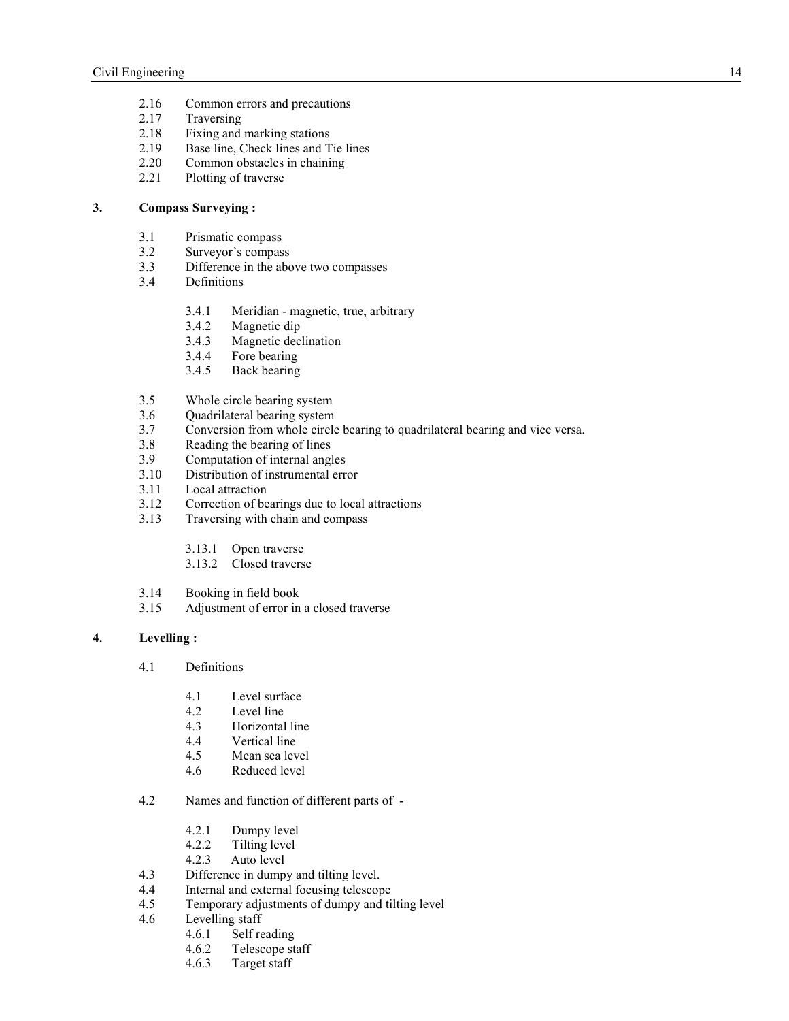- 2.16 Common errors and precautions
- 2.17 Traversing
- 2.18 Fixing and marking stations<br>2.19 Base line, Check lines and T
- 2.19 Base line, Check lines and Tie lines<br>2.20 Common obstacles in chaining
- 2.20 Common obstacles in chaining<br>2.21 Plotting of traverse
- Plotting of traverse

# **3. Compass Surveying :**

- 3.1 Prismatic compass
- 3.2 Surveyor's compass<br>3.3 Difference in the abo
- Difference in the above two compasses
- 3.4 Definitions
	- 3.4.1 Meridian magnetic, true, arbitrary
	- 3.4.2 Magnetic dip<br>3.4.3 Magnetic dec
	- 3.4.3 Magnetic declination<br>3.4.4 Fore bearing
	- Fore bearing
	- 3.4.5 Back bearing
- 3.5 Whole circle bearing system
- 3.6 Quadrilateral bearing system
- 3.7 Conversion from whole circle bearing to quadrilateral bearing and vice versa.
- 3.8 Reading the bearing of lines
- 3.9 Computation of internal angles
- 3.10 Distribution of instrumental error
- 3.11 Local attraction
- 3.12 Correction of bearings due to local attractions
- 3.13 Traversing with chain and compass
	- 3.13.1 Open traverse
	- 3.13.2 Closed traverse
- 3.14 Booking in field book
- 3.15 Adjustment of error in a closed traverse

# **4. Levelling :**

- 4.1 Definitions
	- 4.1 Level surface
	- 4.2 Level line
	- 4.3 Horizontal line
	- 4.4 Vertical line
	- 4.5 Mean sea level
	- 4.6 Reduced level
- 4.2 Names and function of different parts of
	- 4.2.1 Dumpy level<br>4.2.2 Tilting level
	- Tilting level
	- 4.2.3 Auto level
- 4.3 Difference in dumpy and tilting level.<br>4.4 Internal and external focusing telescon
- Internal and external focusing telescope
- 4.5 Temporary adjustments of dumpy and tilting level
- 4.6 Levelling staff<br>4.6.1 Self re
	- Self reading
	- 4.6.2 Telescope staff
	- 4.6.3 Target staff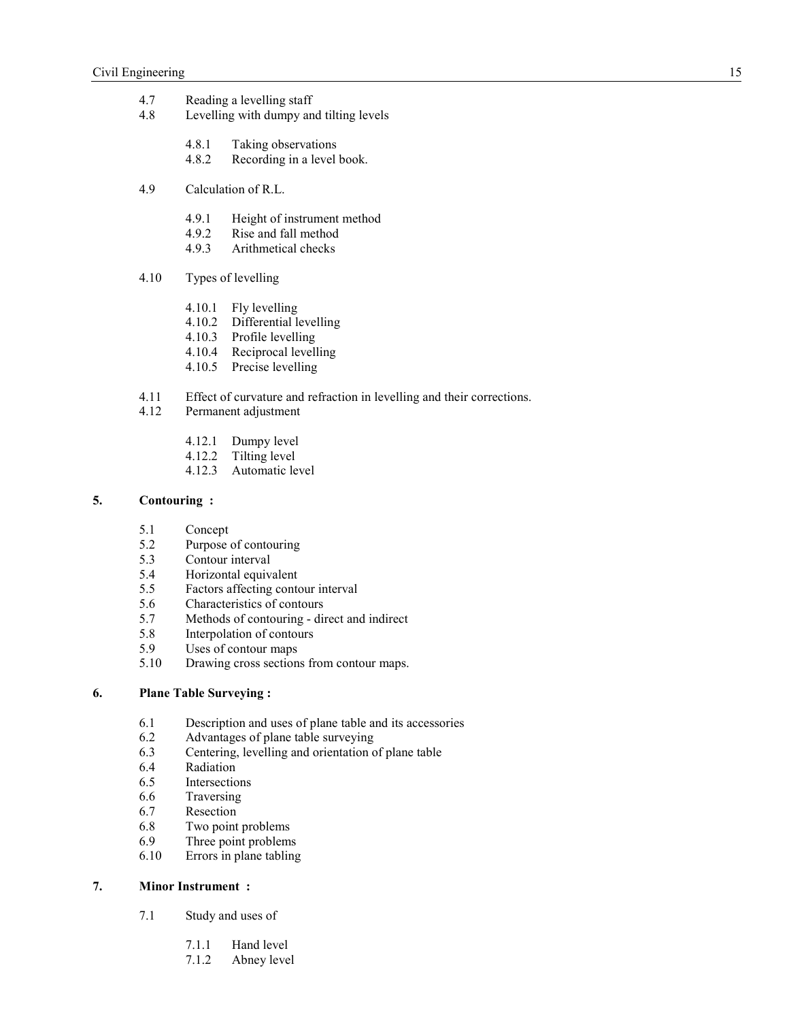- 4.7 Reading a levelling staff<br>4.8 Levelling with dumpy an
- Levelling with dumpy and tilting levels
	- 4.8.1 Taking observations<br>4.8.2 Recording in a level
	- Recording in a level book.
- 4.9 Calculation of R.L.
	- 4.9.1 Height of instrument method<br>4.9.2 Rise and fall method
	- 4.9.2 Rise and fall method<br>4.9.3 Arithmetical checks
	- Arithmetical checks
- 4.10 Types of levelling
	- 4.10.1 Fly levelling
	- 4.10.2 Differential levelling
	- 4.10.3 Profile levelling
	- 4.10.4 Reciprocal levelling
	- 4.10.5 Precise levelling
- 4.11 Effect of curvature and refraction in levelling and their corrections.
- 4.12 Permanent adjustment
	- 4.12.1 Dumpy level
	- 4.12.2 Tilting level<br>4.12.3 Automatic le
	- Automatic level

### **5. Contouring :**

- 5.1 Concept
- 5.2 Purpose of contouring<br>5.3 Contour interval
- Contour interval
- 5.4 Horizontal equivalent
- 5.5 Factors affecting contour interval<br>5.6 Characteristics of contours
- 5.6 Characteristics of contours<br>5.7 Methods of contouring di
- Methods of contouring direct and indirect
- 5.8 Interpolation of contours<br>5.9 Uses of contour mans
- Uses of contour maps
- 5.10 Drawing cross sections from contour maps.

## **6. Plane Table Surveying :**

- 6.1 Description and uses of plane table and its accessories<br>6.2 Advantages of plane table surveying
- 6.2 Advantages of plane table surveying<br>6.3 Centering, levelling and orientation of
- Centering, levelling and orientation of plane table
- 6.4 Radiation
- 6.5 Intersections
- 6.6 Traversing
- 6.7 Resection
- 6.8 Two point problems
- 6.9 Three point problems
- 6.10 Errors in plane tabling

## **7. Minor Instrument :**

- 7.1 Study and uses of
	- 7.1.1 Hand level
	- 7.1.2 Abney level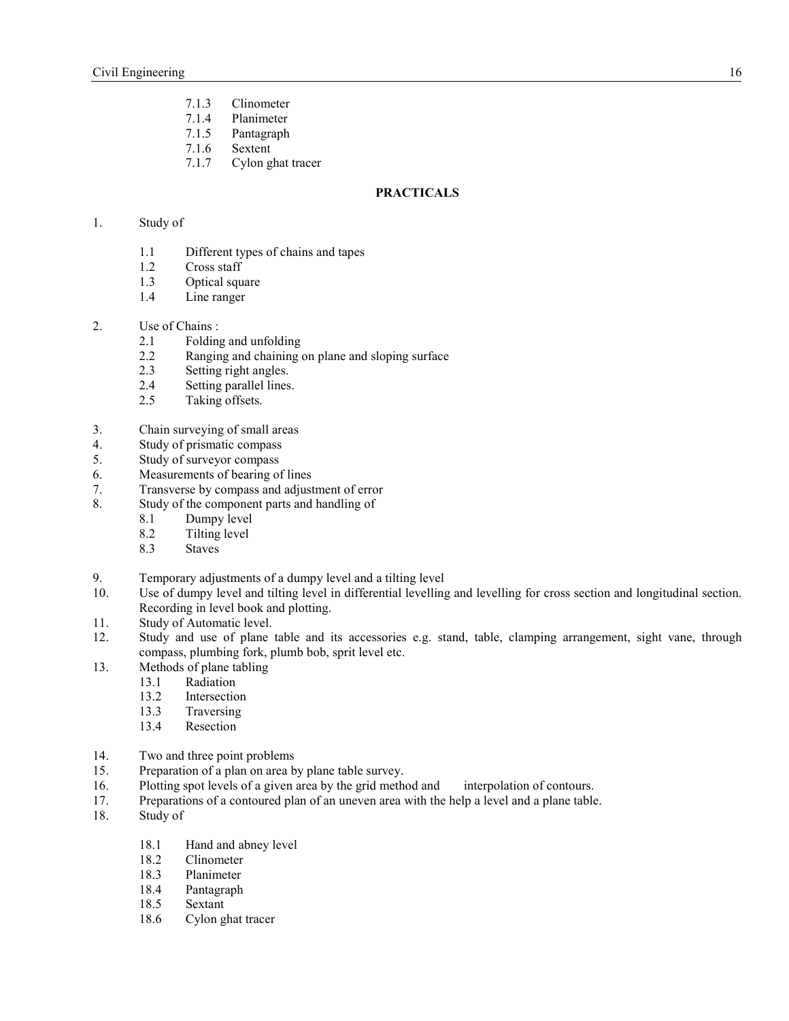- 7.1.3 Clinometer
- 7.1.4 Planimeter
- 7.1.5 Pantagraph
- 7.1.6 Sextent
- 7.1.7 Cylon ghat tracer

## **PRACTICALS**

# 1. Study of

- 1.1 Different types of chains and tapes<br>1.2 Cross staff
- Cross staff
- 1.3 Optical square
- 1.4 Line ranger

#### 2. Use of Chains :

- 2.1 Folding and unfolding<br>2.2 Ranging and chaining
- Ranging and chaining on plane and sloping surface
- 2.3 Setting right angles.
- 2.4 Setting parallel lines.
- 2.5 Taking offsets.
- 3. Chain surveying of small areas
- 4. Study of prismatic compass
- 5. Study of surveyor compass
- 6. Measurements of bearing of lines
- 7. Transverse by compass and adjustment of error
- 8. Study of the component parts and handling of
	- 8.1 Dumpy level<br>8.2 Tilting level
	- Tilting level
	- 8.3 Staves
- 9. Temporary adjustments of a dumpy level and a tilting level
- 10. Use of dumpy level and tilting level in differential levelling and levelling for cross section and longitudinal section. Recording in level book and plotting.
- 11. Study of Automatic level.
- 12. Study and use of plane table and its accessories e.g. stand, table, clamping arrangement, sight vane, through compass, plumbing fork, plumb bob, sprit level etc.
- 13. Methods of plane tabling
	- 13.1 Radiation
	- 13.2 Intersection
	- 13.3 Traversing
	- 13.4 Resection
- 14. Two and three point problems
- 15. Preparation of a plan on area by plane table survey.
- 16. Plotting spot levels of a given area by the grid method and interpolation of contours.<br>17. Preparations of a contoured plan of an uneven area with the help a level and a plane table
- Preparations of a contoured plan of an uneven area with the help a level and a plane table.
- 18. Study of
	- 18.1 Hand and abney level
	- 18.2 Clinometer
	- 18.3 Planimeter<br>18.4 Pantagraph
	- Pantagraph
	- 18.5 Sextant
	- 18.6 Cylon ghat tracer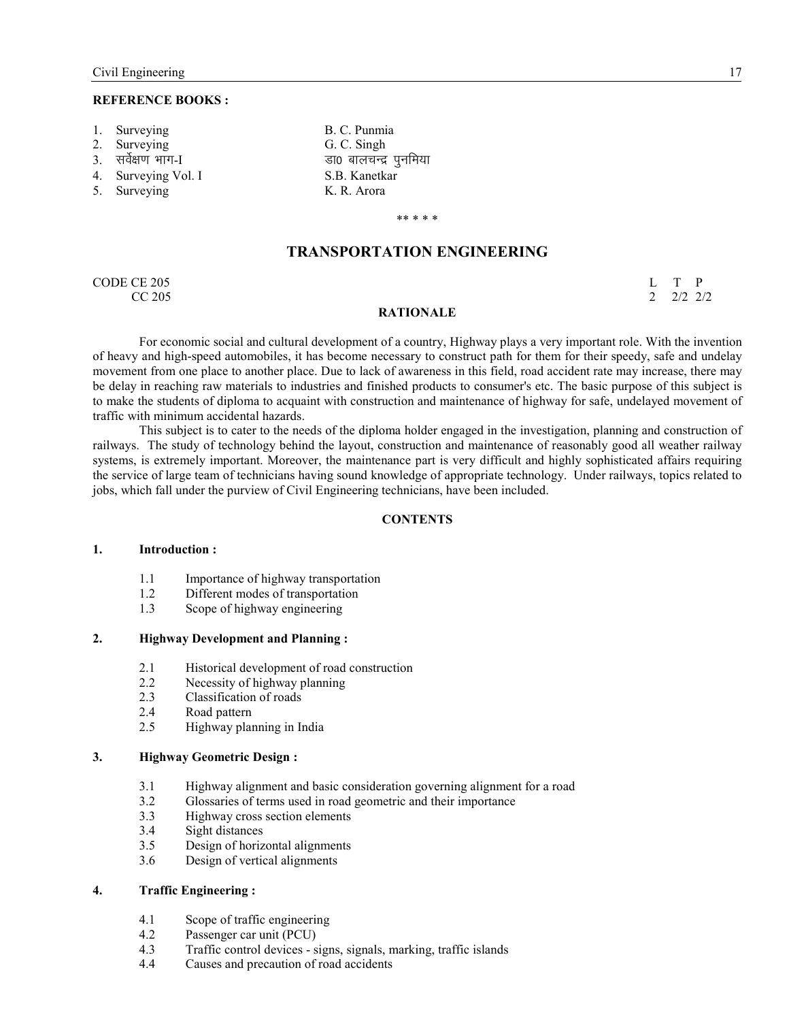#### **REFERENCE BOOKS:**

- 
- 
- 
- 4. Surveying Vol. I S.B. Kanetkar
- 5. Surveying K. R. Arora
- 1. Surveying B. C. Punmia 2. Surveying G. C. Singh 3. lo sZ{k.k Hkkx-I Mk0 ckypUnz iqufe;k

#### \*\* \* \* \*

# **TRANSPORTATION ENGINEERING**

CODE CE 205 L T P CC 205 2 2/2 2/2

#### **RATIONALE**

For economic social and cultural development of a country, Highway plays a very important role. With the invention of heavy and high-speed automobiles, it has become necessary to construct path for them for their speedy, safe and undelay movement from one place to another place. Due to lack of awareness in this field, road accident rate may increase, there may be delay in reaching raw materials to industries and finished products to consumer's etc. The basic purpose of this subject is to make the students of diploma to acquaint with construction and maintenance of highway for safe, undelayed movement of traffic with minimum accidental hazards.

This subject is to cater to the needs of the diploma holder engaged in the investigation, planning and construction of railways. The study of technology behind the layout, construction and maintenance of reasonably good all weather railway systems, is extremely important. Moreover, the maintenance part is very difficult and highly sophisticated affairs requiring the service of large team of technicians having sound knowledge of appropriate technology. Under railways, topics related to jobs, which fall under the purview of Civil Engineering technicians, have been included.

#### **CONTENTS**

### **1. Introduction :**

- 1.1 Importance of highway transportation
- 1.2 Different modes of transportation
- 1.3 Scope of highway engineering

## **2. Highway Development and Planning :**

- 2.1 Historical development of road construction<br>2.2 Necessity of highway planning
- Necessity of highway planning
- 2.3 Classification of roads
- 2.4 Road pattern<br>2.5 Highway plat
- Highway planning in India

#### **3. Highway Geometric Design :**

- 3.1 Highway alignment and basic consideration governing alignment for a road
- 3.2 Glossaries of terms used in road geometric and their importance<br>3.3 Highway cross section elements
- 3.3 Highway cross section elements
- 3.4 Sight distances
- 3.5 Design of horizontal alignments
- 3.6 Design of vertical alignments

## **4. Traffic Engineering :**

- 4.1 Scope of traffic engineering
- 4.2 Passenger car unit (PCU)<br>4.3 Traffic control devices s
- Traffic control devices signs, signals, marking, traffic islands
- 4.4 Causes and precaution of road accidents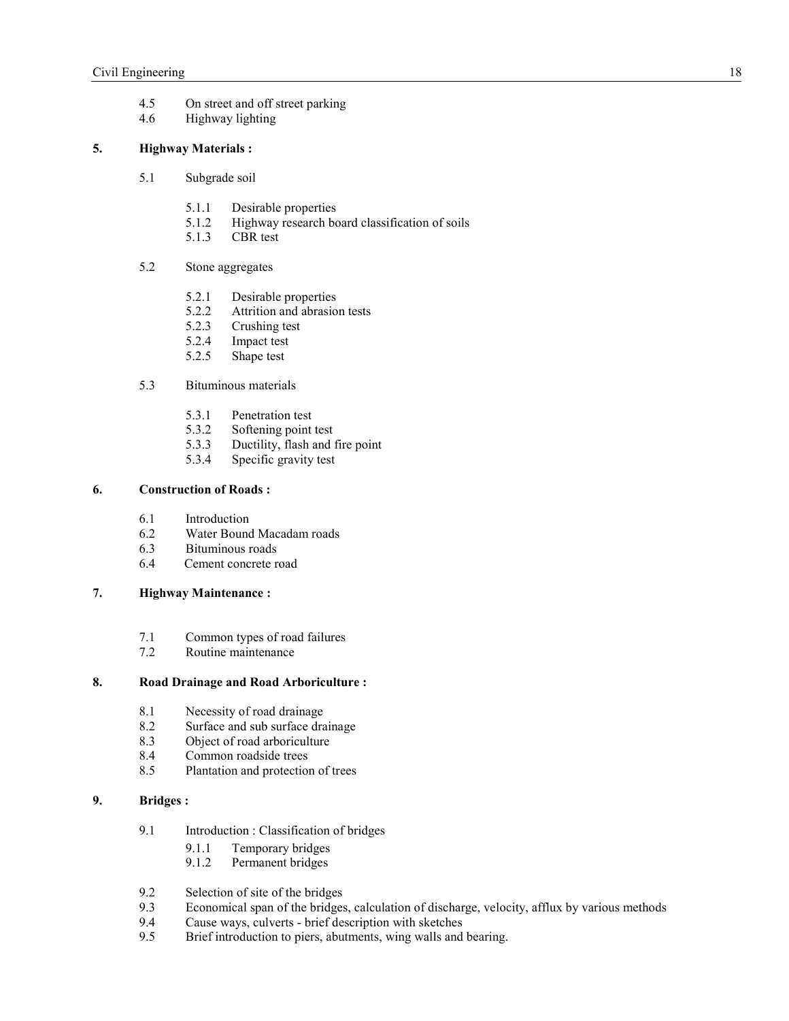- 4.5 On street and off street parking
- 4.6 Highway lighting

# **5. Highway Materials :**

- 5.1 Subgrade soil
	- 5.1.1 Desirable properties
	- 5.1.2 Highway research board classification of soils<br>5.1.3 CBR test
	- CBR test

## 5.2 Stone aggregates

- 5.2.1 Desirable properties<br>5.2.2 Attrition and abrasio
- Attrition and abrasion tests
- 5.2.3 Crushing test<br>5.2.4 Impact test
- 5.2.4 Impact test<br>5.2.5 Shape test
- Shape test

## 5.3 Bituminous materials

- 5.3.1 Penetration test
- 5.3.2 Softening point test
- 5.3.3 Ductility, flash and fire point
- 5.3.4 Specific gravity test

## **6. Construction of Roads :**

- 6.1 Introduction<br>6.2 Water Bound
- Water Bound Macadam roads
- 6.3 Bituminous roads
- 6.4 Cement concrete road

## **7. Highway Maintenance :**

- 7.1 Common types of road failures<br>7.2 Routine maintenance
- Routine maintenance

## **8. Road Drainage and Road Arboriculture :**

- 8.1 Necessity of road drainage
- 8.2 Surface and sub surface drainage
- 8.3 Object of road arboriculture
- 8.4 Common roadside trees
- 8.5 Plantation and protection of trees

# **9. Bridges :**

- 9.1 Introduction : Classification of bridges
	- 9.1.1 Temporary bridges
	- 9.1.2 Permanent bridges
- 9.2 Selection of site of the bridges<br>9.3 Economical span of the bridges
- Economical span of the bridges, calculation of discharge, velocity, afflux by various methods
- 9.4 Cause ways, culverts brief description with sketches
- 9.5 Brief introduction to piers, abutments, wing walls and bearing.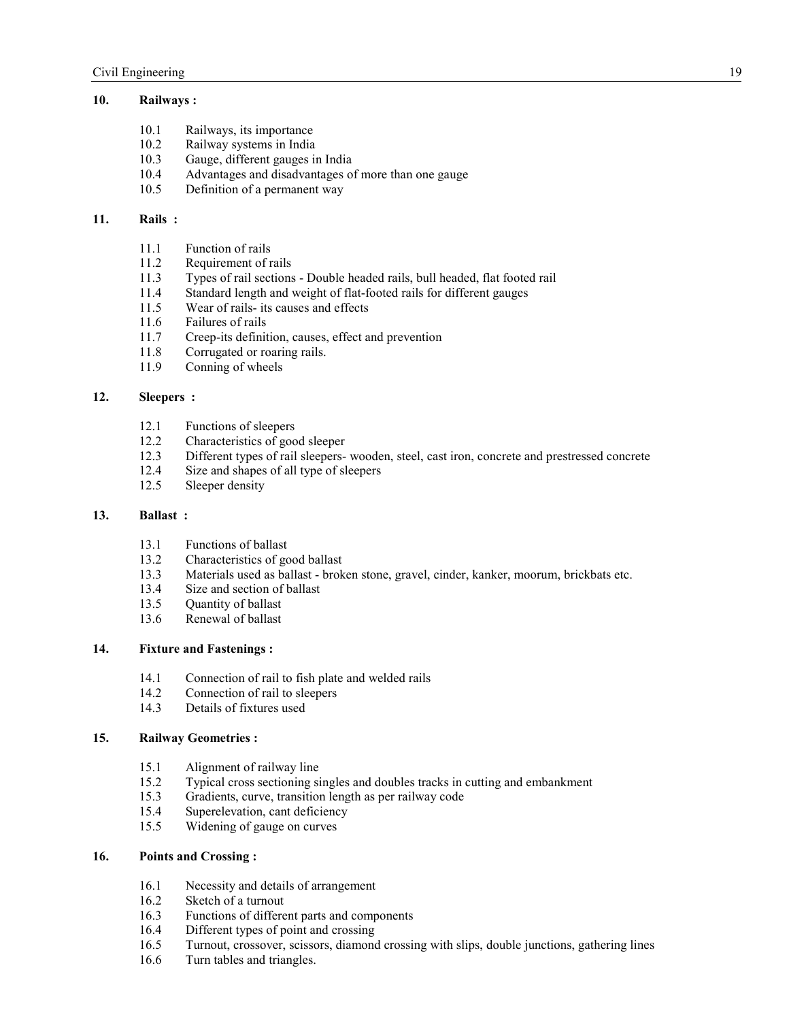# **10. Railways :**

- 10.1 Railways, its importance
- 10.2 Railway systems in India<br>10.3 Gauge, different gauges in
- Gauge, different gauges in India
- 10.4 Advantages and disadvantages of more than one gauge
- 10.5 Definition of a permanent way

#### **11. Rails :**

- 11.1 Function of rails
- 11.2 Requirement of rails<br>11.3 Types of rail sections
- 11.3 Types of rail sections Double headed rails, bull headed, flat footed rail
- Standard length and weight of flat-footed rails for different gauges
- 11.5 Wear of rails- its causes and effects
- 11.6 Failures of rails
- 11.7 Creep-its definition, causes, effect and prevention
- 11.8 Corrugated or roaring rails.
- 11.9 Conning of wheels

## **12. Sleepers :**

- 12.1 Functions of sleepers<br>12.2 Characteristics of goo
- 12.2 Characteristics of good sleeper<br>12.3 Different types of rail sleepers-
- 12.3 Different types of rail sleepers- wooden, steel, cast iron, concrete and prestressed concrete 12.4 Size and shapes of all type of sleepers
- Size and shapes of all type of sleepers
- 12.5 Sleeper density

## **13. Ballast :**

- 13.1 Functions of ballast<br>13.2 Characteristics of go
- Characteristics of good ballast
- 13.3 Materials used as ballast broken stone, gravel, cinder, kanker, moorum, brickbats etc.
- 13.4 Size and section of ballast<br>13.5 Ouantity of ballast
- Quantity of ballast
- 13.6 Renewal of ballast

# **14. Fixture and Fastenings :**

- 14.1 Connection of rail to fish plate and welded rails
- 14.2 Connection of rail to sleepers
- 14.3 Details of fixtures used

# **15. Railway Geometries :**

- 15.1 Alignment of railway line
- 15.2 Typical cross sectioning singles and doubles tracks in cutting and embankment
- 15.3 Gradients, curve, transition length as per railway code
- 15.4 Superelevation, cant deficiency
- 15.5 Widening of gauge on curves

## **16. Points and Crossing :**

- 16.1 Necessity and details of arrangement<br>16.2 Sketch of a turnout
- 16.2 Sketch of a turnout<br>16.3 Functions of differe
- 16.3 Functions of different parts and components<br>16.4 Different types of point and crossing
- 16.4 Different types of point and crossing<br>16.5 Turnout. crossover. scissors. diamond
- 16.5 Turnout, crossover, scissors, diamond crossing with slips, double junctions, gathering lines
- 16.6 Turn tables and triangles.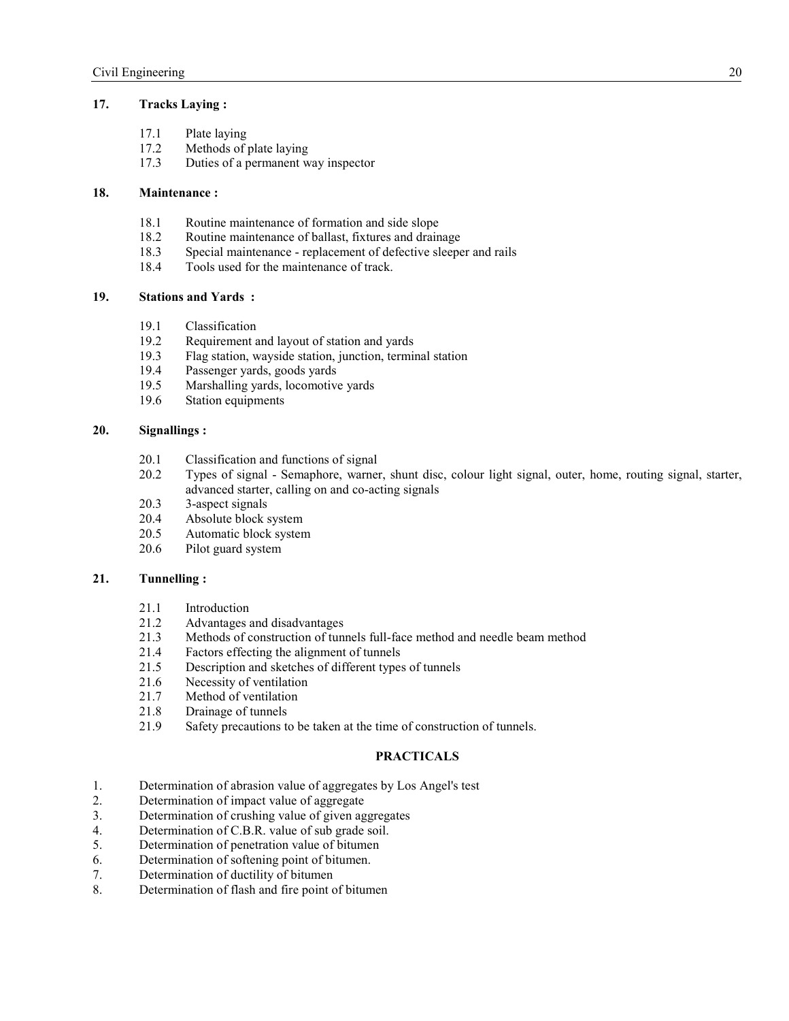## **17. Tracks Laying :**

- 17.1 Plate laying<br>17.2 Methods of 1
- 17.2 Methods of plate laying<br>17.3 Duties of a permanent w
- Duties of a permanent way inspector

## **18. Maintenance :**

- 18.1 Routine maintenance of formation and side slope
- 18.2 Routine maintenance of ballast, fixtures and drainage<br>18.3 Special maintenance replacement of defective sleepe
- 18.3 Special maintenance replacement of defective sleeper and rails<br>18.4 Tools used for the maintenance of track
- Tools used for the maintenance of track.

#### **19. Stations and Yards :**

- 19.1 Classification<br>19.2 Requirement a
- 19.2 Requirement and layout of station and yards<br>19.3 Flag station, wavside station, iunction, termin
- 19.3 Flag station, wayside station, junction, terminal station
- 19.4 Passenger yards, goods yards
- 19.5 Marshalling yards, locomotive yards
- 19.6 Station equipments

## **20. Signallings :**

- 20.1 Classification and functions of signal
- 20.2 Types of signal Semaphore, warner, shunt disc, colour light signal, outer, home, routing signal, starter, advanced starter, calling on and co-acting signals
- 20.3 3-aspect signals
- 20.4 Absolute block system<br>20.5 Automatic block system
- Automatic block system
- 20.6 Pilot guard system

## **21. Tunnelling :**

- 21.1 Introduction
- 21.2 Advantages and disadvantages<br>21.3 Methods of construction of tun
- 21.3 Methods of construction of tunnels full-face method and needle beam method
- 21.4 Factors effecting the alignment of tunnels<br>21.5 Description and sketches of different types
- Description and sketches of different types of tunnels
- 21.6 Necessity of ventilation
- 21.7 Method of ventilation
- 21.8 Drainage of tunnels
- 21.9 Safety precautions to be taken at the time of construction of tunnels.

#### **PRACTICALS**

- 1. Determination of abrasion value of aggregates by Los Angel's test
- 2. Determination of impact value of aggregate
- 3. Determination of crushing value of given aggregates
- 4. Determination of C.B.R. value of sub grade soil.<br>5. Determination of penetration value of bitumen
- Determination of penetration value of bitumen
- 6. Determination of softening point of bitumen.
- 7. Determination of ductility of bitumen
- 8. Determination of flash and fire point of bitumen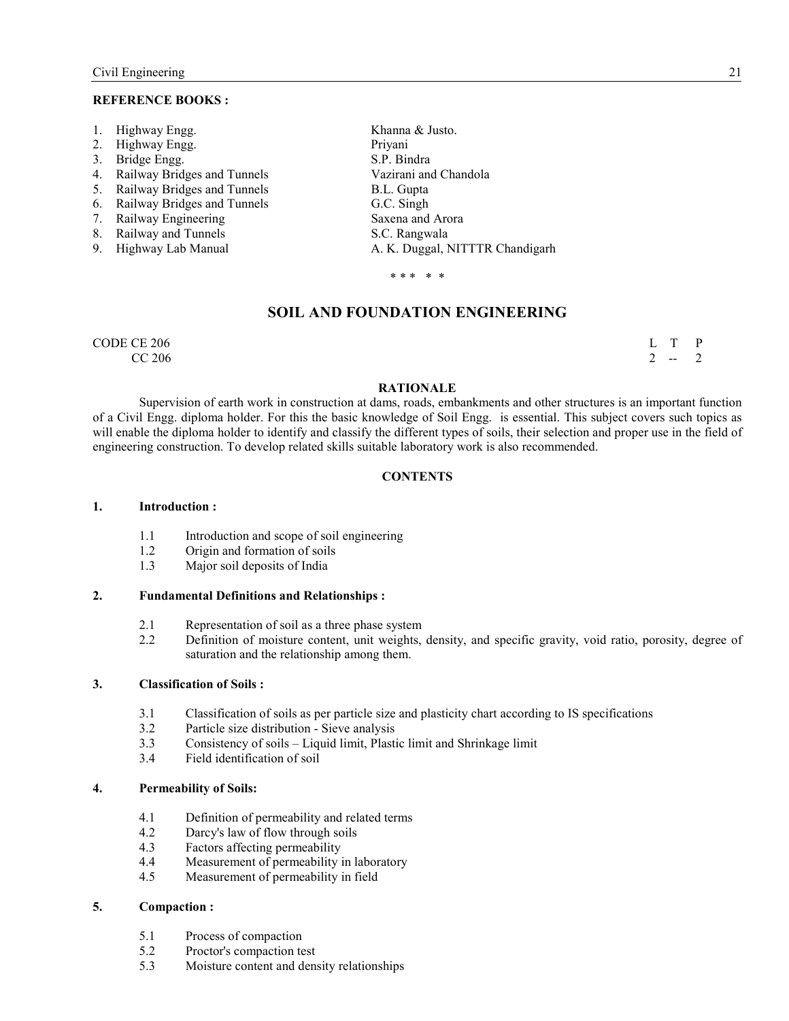#### **REFERENCE BOOKS:**

| 1. Highway Engg.               | Khanna & Justo.                 |
|--------------------------------|---------------------------------|
| 2. Highway Engg.               | Priyani                         |
| 3. Bridge Engg.                | S.P. Bindra                     |
| 4. Railway Bridges and Tunnels | Vazirani and Chandola           |
| 5. Railway Bridges and Tunnels | B.L. Gupta                      |
| 6. Railway Bridges and Tunnels | G.C. Singh                      |
| 7. Railway Engineering         | Saxena and Arora                |
| 8. Railway and Tunnels         | S.C. Rangwala                   |
| 9. Highway Lab Manual          | A. K. Duggal, NITTTR Chandigarh |
|                                |                                 |

\* \* \* \* \*

## **SOIL AND FOUNDATION ENGINEERING**

CODE CE 206  $\qquad \qquad \text{L} \quad \text{T} \quad \text{P}$ 

 $CC\,206$  2 -- 2

#### **RATIONALE**

Supervision of earth work in construction at dams, roads, embankments and other structures is an important function of a Civil Engg. diploma holder. For this the basic knowledge of Soil Engg. is essential. This subject covers such topics as will enable the diploma holder to identify and classify the different types of soils, their selection and proper use in the field of engineering construction. To develop related skills suitable laboratory work is also recommended.

## **CONTENTS**

#### **1. Introduction :**

- 1.1 Introduction and scope of soil engineering
- 1.2 Origin and formation of soils<br>1.3 Maior soil denosits of India
- Major soil deposits of India

## **2. Fundamental Definitions and Relationships :**

- 2.1 Representation of soil as a three phase system<br>2.2 Definition of moisture content, unit weights.
- 2.2 Definition of moisture content, unit weights, density, and specific gravity, void ratio, porosity, degree of saturation and the relationship among them.

#### **3. Classification of Soils :**

- 3.1 Classification of soils as per particle size and plasticity chart according to IS specifications
- 3.2 Particle size distribution Sieve analysis<br>3.3 Consistency of soils Liquid limit. Plasti
- 3.3 Consistency of soils Liquid limit, Plastic limit and Shrinkage limit
- 3.4 Field identification of soil

### **4. Permeability of Soils:**

- 4.1 Definition of permeability and related terms<br>4.2 Darcy's law of flow through soils
- Darcy's law of flow through soils
- 4.3 Factors affecting permeability
- 4.4 Measurement of permeability in laboratory<br>4.5 Measurement of permeability in field
- Measurement of permeability in field

## **5. Compaction :**

- 5.1 Process of compaction
- 5.2 Proctor's compaction test<br>5.3 Moisture content and den
- 5.3 Moisture content and density relationships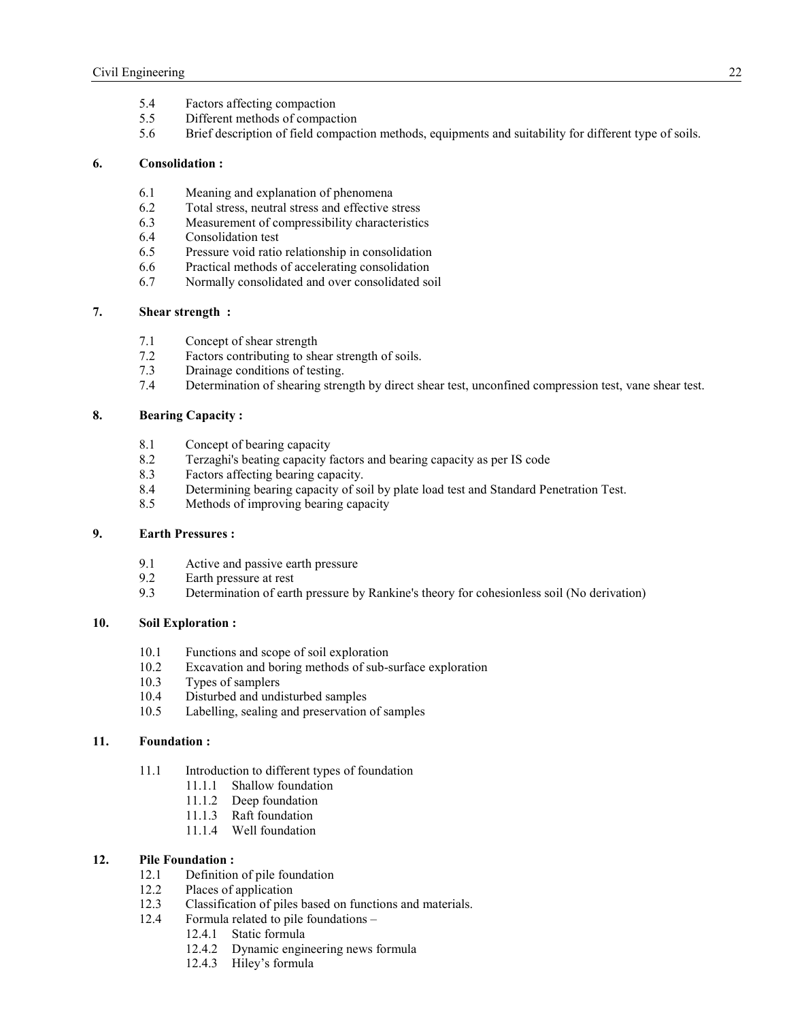- 5.4 Factors affecting compaction
- 5.5 Different methods of compaction
- 5.6 Brief description of field compaction methods, equipments and suitability for different type of soils.

## **6. Consolidation :**

- 6.1 Meaning and explanation of phenomena
- 6.2 Total stress, neutral stress and effective stress
- 6.3 Measurement of compressibility characteristics
- 6.4 Consolidation test
- 6.5 Pressure void ratio relationship in consolidation
- 6.6 Practical methods of accelerating consolidation
- 6.7 Normally consolidated and over consolidated soil

# **7. Shear strength :**

- 7.1 Concept of shear strength<br>7.2 Factors contributing to she
- Factors contributing to shear strength of soils.
- 7.3 Drainage conditions of testing.
- 7.4 Determination of shearing strength by direct shear test, unconfined compression test, vane shear test.

### **8. Bearing Capacity :**

- 8.1 Concept of bearing capacity
- 8.2 Terzaghi's beating capacity factors and bearing capacity as per IS code
- 8.3 Factors affecting bearing capacity.
- 8.4 Determining bearing capacity of soil by plate load test and Standard Penetration Test.
- 8.5 Methods of improving bearing capacity

## **9. Earth Pressures :**

- 9.1 Active and passive earth pressure
- 9.2 Earth pressure at rest
- 9.3 Determination of earth pressure by Rankine's theory for cohesionless soil (No derivation)

# **10. Soil Exploration :**

- 10.1 Functions and scope of soil exploration<br>10.2 Excavation and boring methods of sub-s
- Excavation and boring methods of sub-surface exploration
- 10.3 Types of samplers
- 10.4 Disturbed and undisturbed samples
- 10.5 Labelling, sealing and preservation of samples

### **11. Foundation :**

- 11.1 Introduction to different types of foundation
	- 11.1.1 Shallow foundation
	- 11.1.2 Deep foundation
	- 11.1.3 Raft foundation
	- 11.1.4 Well foundation

## **12. Pile Foundation :**

- 12.1 Definition of pile foundation
- 12.2 Places of application
- 12.3 Classification of piles based on functions and materials.
- 12.4 Formula related to pile foundations
	- 12.4.1 Static formula
	- 12.4.2 Dynamic engineering news formula
	- 12.4.3 Hiley's formula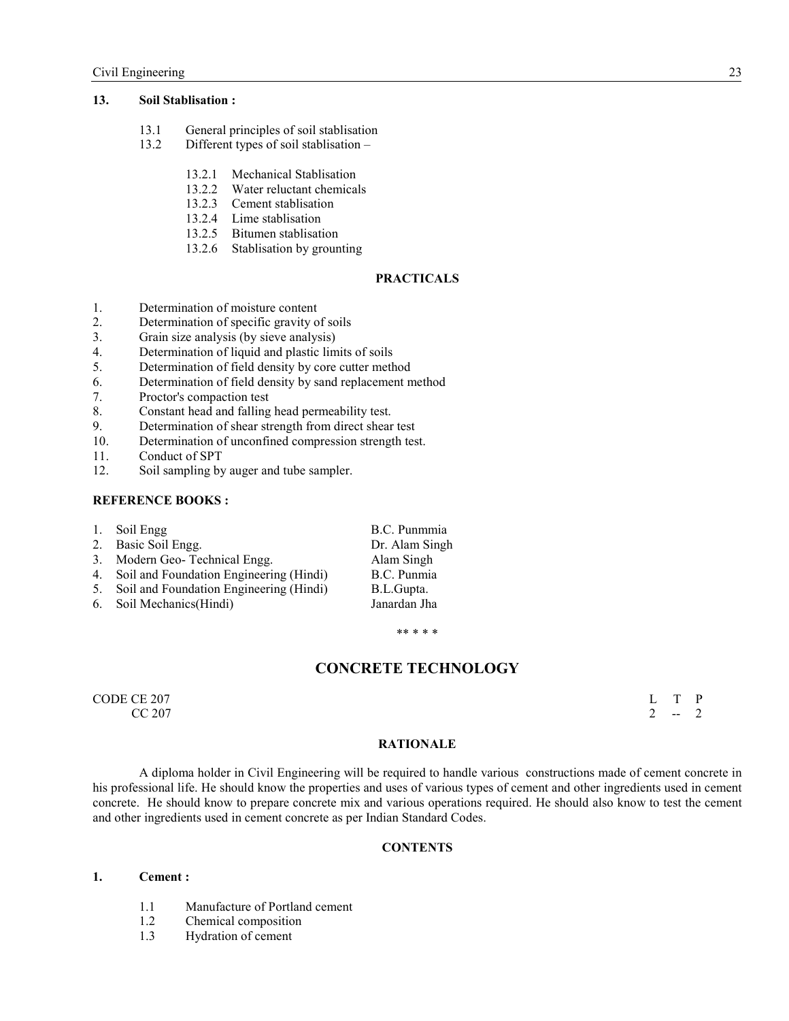### **13. Soil Stablisation :**

- 13.1 General principles of soil stablisation
- 13.2 Different types of soil stablisation
	- 13.2.1 Mechanical Stablisation
	- 13.2.2 Water reluctant chemicals
	- 13.2.3 Cement stablisation
	- 13.2.4 Lime stablisation
	- 13.2.5 Bitumen stablisation
	- 13.2.6 Stablisation by grounting

# **PRACTICALS**

- 1. Determination of moisture content
- 2. Determination of specific gravity of soils
- 3. Grain size analysis (by sieve analysis)
- 4. Determination of liquid and plastic limits of soils
- 5. Determination of field density by core cutter method
- 6. Determination of field density by sand replacement method
- 7. Proctor's compaction test
- 8. Constant head and falling head permeability test.<br>9. Determination of shear strength from direct shear
- Determination of shear strength from direct shear test
- 10. Determination of unconfined compression strength test.
- 11. Conduct of SPT<br>12. Soil sampling by
- Soil sampling by auger and tube sampler.

#### **REFERENCE BOOKS:**

|    | 1. Soil Engg                            | B.C. Punmmia   |
|----|-----------------------------------------|----------------|
|    | 2. Basic Soil Engg.                     | Dr. Alam Singh |
|    | 3. Modern Geo-Technical Engg.           | Alam Singh     |
| 4. | Soil and Foundation Engineering (Hindi) | B.C. Punmia    |
| 5. | Soil and Foundation Engineering (Hindi) | B.L.Gupta.     |
|    | 6. Soil Mechanics (Hindi)               | Janardan Jha   |
|    |                                         |                |

\*\* \* \* \*

# **CONCRETE TECHNOLOGY**

CODE CE 207  $\qquad \qquad \mathbb{L}$  T P  $CC 207$  2 -- 2

## **RATIONALE**

A diploma holder in Civil Engineering will be required to handle various constructions made of cement concrete in his professional life. He should know the properties and uses of various types of cement and other ingredients used in cement concrete. He should know to prepare concrete mix and various operations required. He should also know to test the cement and other ingredients used in cement concrete as per Indian Standard Codes.

#### **CONTENTS**

#### **1. Cement :**

- 1.1 Manufacture of Portland cement<br>1.2 Chemical composition
- Chemical composition
- 1.3 Hydration of cement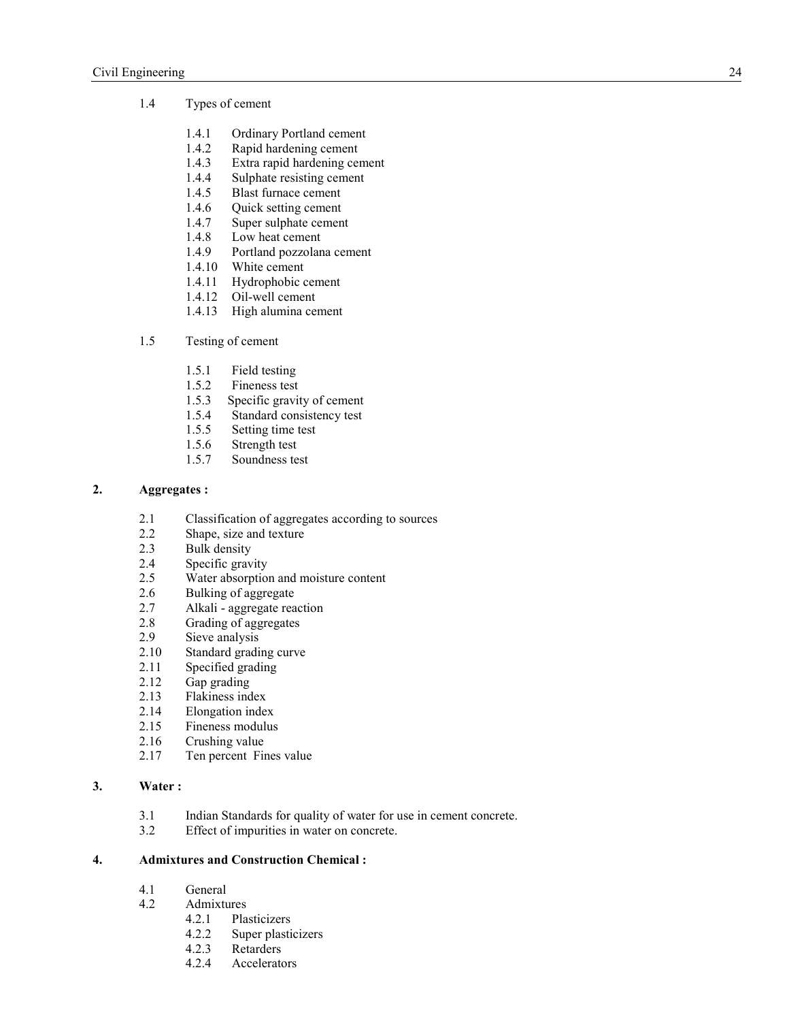## 1.4 Types of cement

- 1.4.1 Ordinary Portland cement<br>1.4.2 Rapid hardening cement
- 1.4.2 Rapid hardening cement<br>1.4.3 Extra rapid hardening cen
- 1.4.3 Extra rapid hardening cement<br>1.4.4 Sulphate resisting cement
- Sulphate resisting cement
- 1.4.5 Blast furnace cement
- 1.4.6 Quick setting cement
- 1.4.7 Super sulphate cement
- 1.4.8 Low heat cement
- 1.4.9 Portland pozzolana cement
- 1.4.10 White cement
- 1.4.11 Hydrophobic cement
- 1.4.12 Oil-well cement
- 1.4.13 High alumina cement

## 1.5 Testing of cement

- 1.5.1 Field testing
- 1.5.2 Fineness test<br>1.5.3 Specific gravit
- Specific gravity of cement
- 1.5.4 Standard consistency test
- 1.5.5 Setting time test
- 1.5.6 Strength test
- 1.5.7 Soundness test

# **2. Aggregates :**

- 2.1 Classification of aggregates according to sources<br>2.2 Shape, size and texture
- Shape, size and texture
- 2.3 Bulk density
- 2.4 Specific gravity
- 2.5 Water absorption and moisture content
- 2.6 Bulking of aggregate
- 2.7 Alkali aggregate reaction
- 2.8 Grading of aggregates<br>2.9 Sieve analysis
- 2.9 Sieve analysis<br>2.10 Standard gradi
- 2.10 Standard grading curve<br>2.11 Specified grading
- 2.11 Specified grading<br>2.12 Gap grading
- Gap grading
- 2.13 Flakiness index<br>2.14 Elongation index
- Elongation index
- 2.15 Fineness modulus
- 2.16 Crushing value
- 2.17 Ten percent Fines value

#### **3. Water :**

- 3.1 Indian Standards for quality of water for use in cement concrete.
- 3.2 Effect of impurities in water on concrete.

#### **4. Admixtures and Construction Chemical :**

- 4.1 General
- 4.2 Admixtures
	- 4.2.1 Plasticizers<br>4.2.2 Super plasti
	- Super plasticizers
	- 4.2.3 Retarders
	- 4.2.4 Accelerators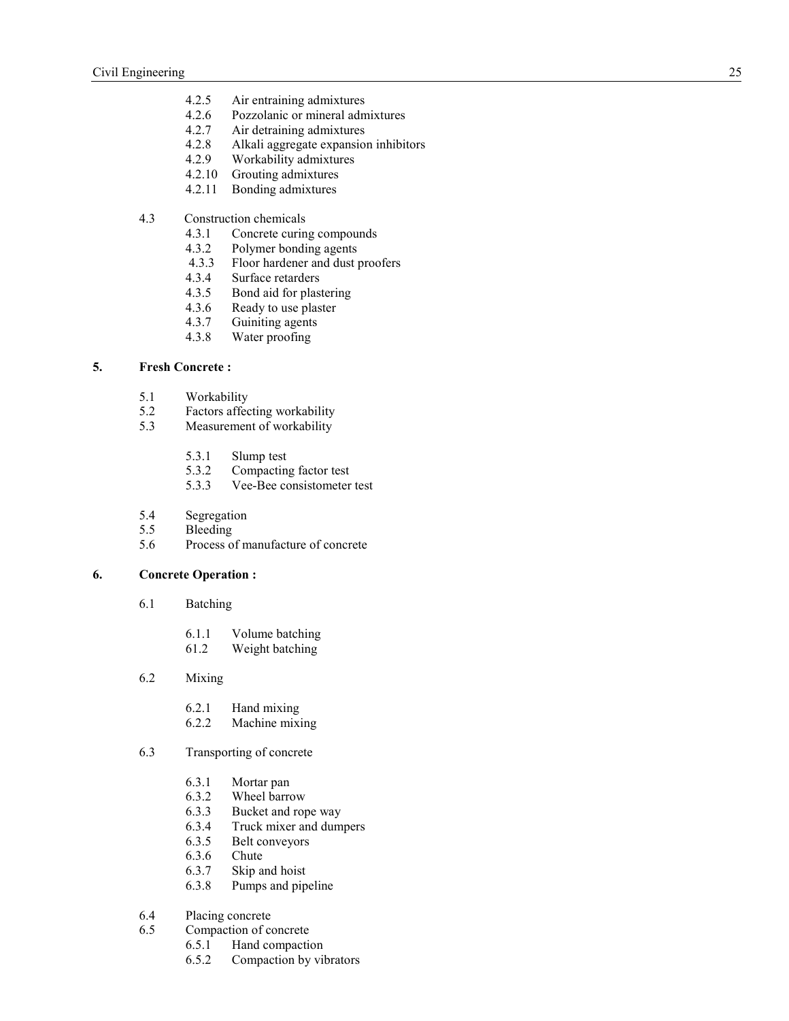- 4.2.5 Air entraining admixtures<br>4.2.6 Pozzolanic or mineral adm
- Pozzolanic or mineral admixtures
- 4.2.7 Air detraining admixtures
- 4.2.8 Alkali aggregate expansion inhibitors<br>4.2.9 Workability admixtures
- 4.2.9 Workability admixtures
- 4.2.10 Grouting admixtures
- 4.2.11 Bonding admixtures
- 4.3 Construction chemicals
	- 4.3.1 Concrete curing compounds<br>4.3.2 Polymer bonding agents
	- 4.3.2 Polymer bonding agents<br>4.3.3 Floor hardener and dust p
	- 4.3.3 Floor hardener and dust proofers<br>4.3.4 Surface retarders
	- 4.3.4 Surface retarders<br>4.3.5 Bond aid for plas
	- Bond aid for plastering
	- 4.3.6 Ready to use plaster
	- 4.3.7 Guiniting agents
	- 4.3.8 Water proofing

# **5. Fresh Concrete :**

- 5.1 Workability
- 5.2 Factors affecting workability<br>5.3 Measurement of workability
- Measurement of workability
	- 5.3.1 Slump test<br>5.3.2 Compactin
	- 5.3.2 Compacting factor test
	- 5.3.3 Vee-Bee consistometer test
- 5.4 Segregation
- 5.5 Bleeding
- 5.6 Process of manufacture of concrete

#### **6. Concrete Operation :**

- 6.1 Batching
	- 6.1.1 Volume batching<br>61.2 Weight batching
	- Weight batching
- 6.2 Mixing
	- 6.2.1 Hand mixing
	- 6.2.2 Machine mixing

#### 6.3 Transporting of concrete

- 6.3.1 Mortar pan
- 6.3.2 Wheel barrow
- 6.3.3 Bucket and rope way
- 6.3.4 Truck mixer and dumpers
- 6.3.5 Belt conveyors
- 6.3.6 Chute
- 6.3.7 Skip and hoist
- 6.3.8 Pumps and pipeline

# 6.4 Placing concrete<br>6.5 Compaction of co

- Compaction of concrete
	- 6.5.1 Hand compaction
	- 6.5.2 Compaction by vibrators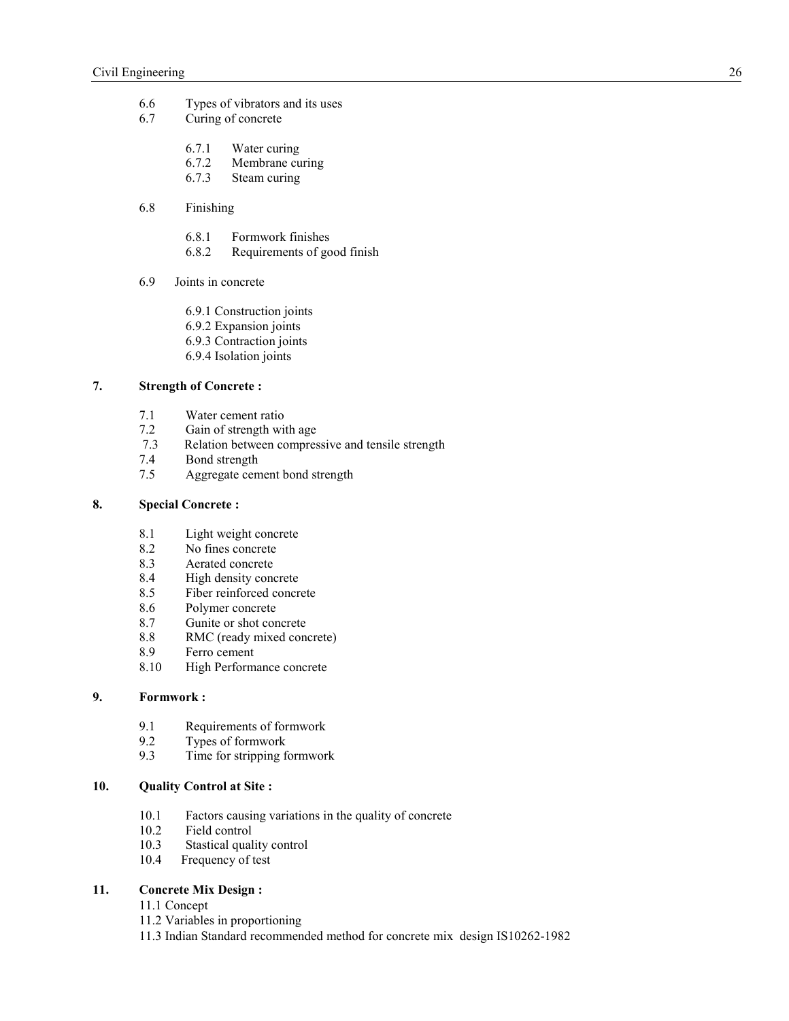- 6.6 Types of vibrators and its uses
- 6.7 Curing of concrete
	- 6.7.1 Water curing
	- 6.7.2 Membrane curing<br>6.7.3 Steam curing
	- Steam curing
- 6.8 Finishing
	- 6.8.1 Formwork finishes
	- 6.8.2 Requirements of good finish
- 6.9 Joints in concrete
	- 6.9.1 Construction joints
	- 6.9.2 Expansion joints
	- 6.9.3 Contraction joints
	- 6.9.4 Isolation joints

## **7. Strength of Concrete :**

- 7.1 Water cement ratio
- 7.2 Gain of strength with age<br>7.3 Relation between compres
- Relation between compressive and tensile strength
- 7.4 Bond strength
- 7.5 Aggregate cement bond strength

# **8. Special Concrete :**

- 8.1 Light weight concrete
- 8.2 No fines concrete
- 8.3 Aerated concrete
- 8.4 High density concrete
- 8.5 Fiber reinforced concrete
- 8.6 Polymer concrete
- 8.7 Gunite or shot concrete
- 8.8 RMC (ready mixed concrete)
- 8.9 Ferro cement
- 8.10 High Performance concrete

# **9. Formwork :**

- 9.1 Requirements of formwork<br>9.2 Types of formwork
- 9.2 Types of formwork<br>9.3 Time for stripping for
- Time for stripping formwork

## **10. Quality Control at Site :**

- 10.1 Factors causing variations in the quality of concrete
- 10.2 Field control<br>10.3 Stastical qual
- Stastical quality control
- 10.4 Frequency of test

## **11. Concrete Mix Design :**

- 11.1 Concept
- 11.2 Variables in proportioning
- 11.3 Indian Standard recommended method for concrete mix design IS10262-1982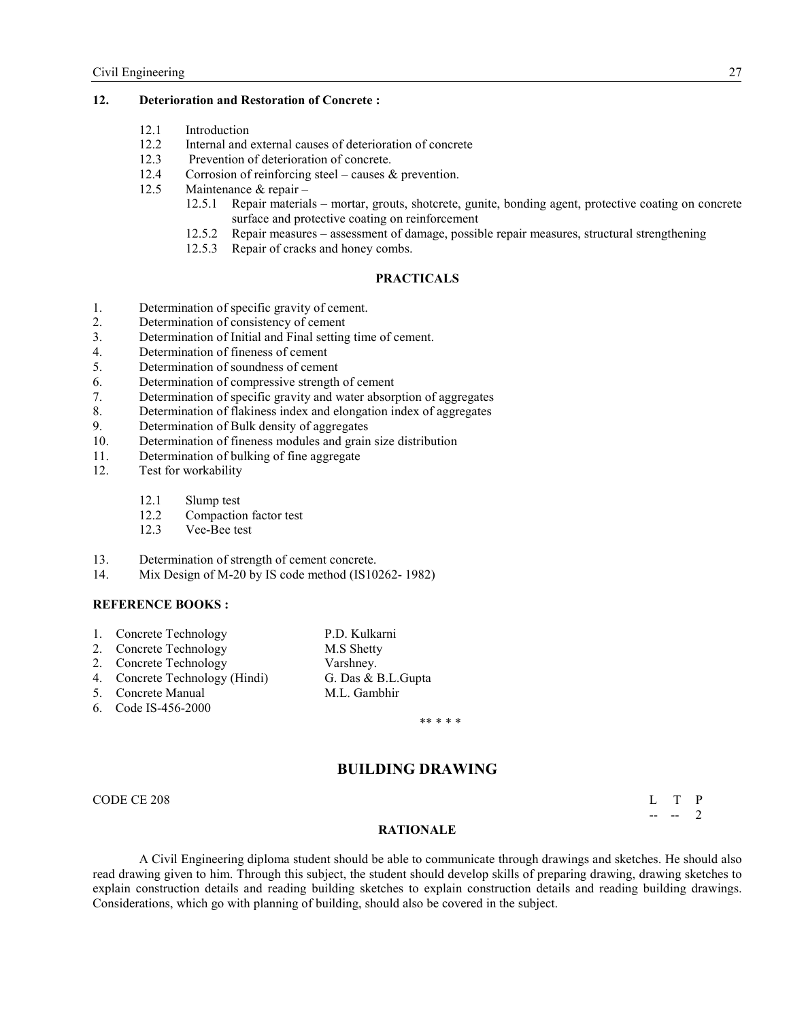## **12. Deterioration and Restoration of Concrete :**

- 12.1 Introduction
- 12.2 Internal and external causes of deterioration of concrete<br>12.3 Prevention of deterioration of concrete
- Prevention of deterioration of concrete.
- 12.4 Corrosion of reinforcing steel causes & prevention.
- 12.5 Maintenance & repair
	- 12.5.1 Repair materials mortar, grouts, shotcrete, gunite, bonding agent, protective coating on concrete surface and protective coating on reinforcement
	- 12.5.2 Repair measures assessment of damage, possible repair measures, structural strengthening
	- 12.5.3 Repair of cracks and honey combs.

# **PRACTICALS**

- 1. Determination of specific gravity of cement.
- 2. Determination of consistency of cement
- 3. Determination of Initial and Final setting time of cement.
- 4. Determination of fineness of cement
- 5. Determination of soundness of cement
- 6. Determination of compressive strength of cement
- 7. Determination of specific gravity and water absorption of aggregates
- 8. Determination of flakiness index and elongation index of aggregates<br>9. Determination of Bulk density of aggregates
- Determination of Bulk density of aggregates
- 10. Determination of fineness modules and grain size distribution
- 11. Determination of bulking of fine aggregate<br>12. Test for workability
	- Test for workability
		- 12.1 Slump test<br>12.2 Compaction
		- Compaction factor test
		- 12.3 Vee-Bee test
- 13. Determination of strength of cement concrete.
- 14. Mix Design of M-20 by IS code method (IS10262- 1982)

#### **REFERENCE BOOKS:**

- 1. Concrete Technology P.D. Kulkarni<br>
2. Concrete Technology M.S Shetty
- 2. Concrete Technology
- 2. Concrete Technology Varshney.
- 4. Concrete Technology (Hindi) G. Das & B.L.Gupta
- 5. Concrete Manual M.L. Gambhir
- 6. Code IS-456-2000

\*\* \* \* \*

# **BUILDIG DRAWIG**

CODE CE 208 L T P

 $-$  -- 2

#### **RATIONALE**

A Civil Engineering diploma student should be able to communicate through drawings and sketches. He should also read drawing given to him. Through this subject, the student should develop skills of preparing drawing, drawing sketches to explain construction details and reading building sketches to explain construction details and reading building drawings. Considerations, which go with planning of building, should also be covered in the subject.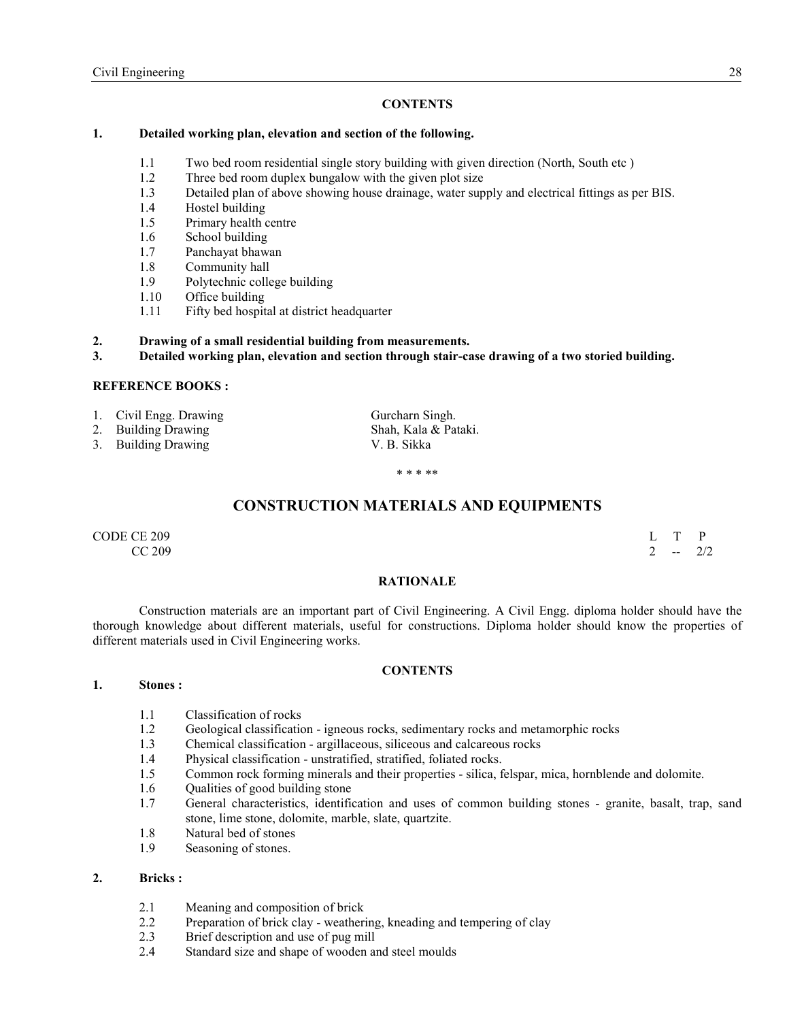## **CONTENTS**

## **1. Detailed working plan, elevation and section of the following.**

- 1.1 Two bed room residential single story building with given direction (North, South etc)<br>1.2 Three bed room duplex bungalow with the given plot size
- Three bed room duplex bungalow with the given plot size
- 1.3 Detailed plan of above showing house drainage, water supply and electrical fittings as per BIS.
- 1.4 Hostel building
- 1.5 Primary health centre
- 1.6 School building
- 1.7 Panchayat bhawan
- 1.8 Community hall
- 1.9 Polytechnic college building
- 1.10 Office building
- 1.11 Fifty bed hospital at district headquarter
- **2. Drawing of a small residential building from measurements.**
- **3. Detailed working plan, elevation and section through stair-case drawing of a two storied building.**

## **REFERENCE BOOKS:**

- 1. Civil Engg. Drawing Gurcharn Singh.
- 2. Building Drawing Shah, Kala & Pataki.<br>
3. Building Drawing Shah, N. B. Sikka
- 3. Building Drawing

\* \* \* \*\*

# **CONSTRUCTION MATERIALS AND EQUIPMENTS**

CODE CE 209 L T P  $CC 209$  2 -- 2/2

#### **RATIOALE**

 Construction materials are an important part of Civil Engineering. A Civil Engg. diploma holder should have the thorough knowledge about different materials, useful for constructions. Diploma holder should know the properties of different materials used in Civil Engineering works.

#### **CONTENTS**

#### **1. Stones :**

- 1.1 Classification of rocks
- 1.2 Geological classification igneous rocks, sedimentary rocks and metamorphic rocks
- 1.3 Chemical classification argillaceous, siliceous and calcareous rocks
- 1.4 Physical classification unstratified, stratified, foliated rocks.
- 1.5 Common rock forming minerals and their properties silica, felspar, mica, hornblende and dolomite.
- 1.6 Qualities of good building stone
- 1.7 General characteristics, identification and uses of common building stones granite, basalt, trap, sand stone, lime stone, dolomite, marble, slate, quartzite.
- 1.8 Natural bed of stones
- 1.9 Seasoning of stones.

#### **2. Bricks :**

- 2.1 Meaning and composition of brick
- 2.2 Preparation of brick clay weathering, kneading and tempering of clay
- 2.3 Brief description and use of pug mill
- 2.4 Standard size and shape of wooden and steel moulds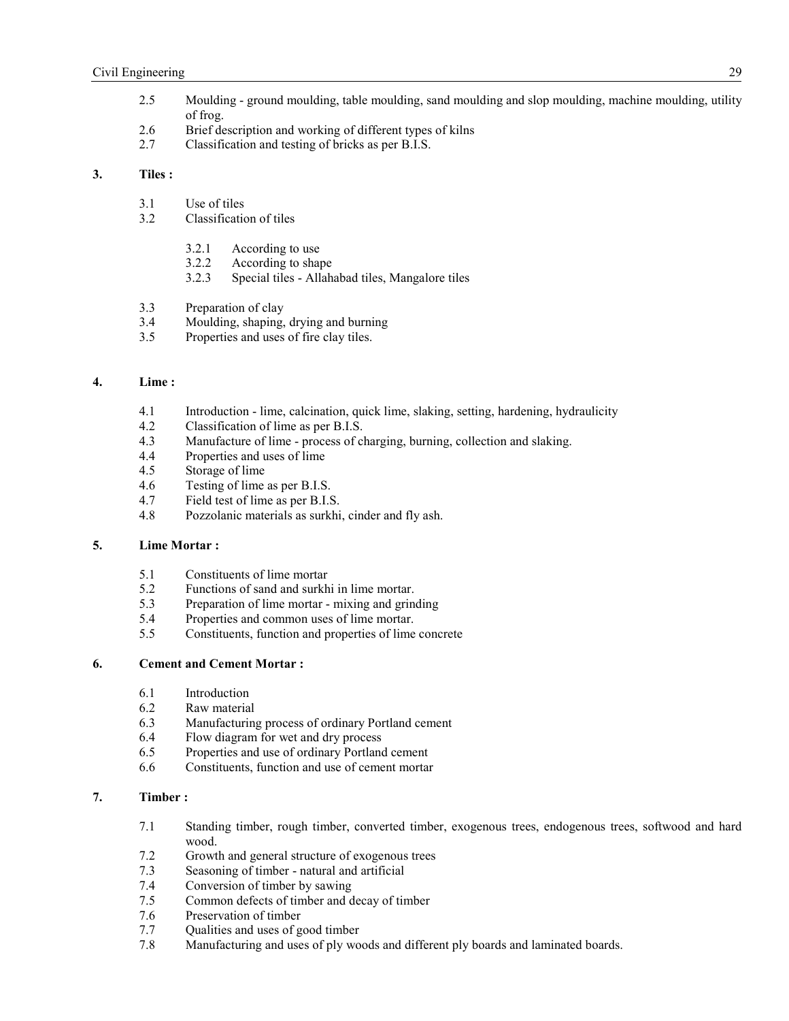- 2.5 Moulding ground moulding, table moulding, sand moulding and slop moulding, machine moulding, utility of frog.
- 2.6 Brief description and working of different types of kilns
- 2.7 Classification and testing of bricks as per B.I.S.

#### **3. Tiles :**

- 3.1 Use of tiles
- 3.2 Classification of tiles
	- 3.2.1 According to use
	- 3.2.2 According to shape
	- 3.2.3 Special tiles Allahabad tiles, Mangalore tiles
- 3.3 Preparation of clay
- 3.4 Moulding, shaping, drying and burning
- 3.5 Properties and uses of fire clay tiles.

## **4. Lime :**

- 4.1 Introduction lime, calcination, quick lime, slaking, setting, hardening, hydraulicity 4.2 Classification of lime as per B.I.S.
- 4.2 Classification of lime as per B.I.S.<br>4.3 Manufacture of lime process of cl
- Manufacture of lime process of charging, burning, collection and slaking.
- 4.4 Properties and uses of lime<br>4.5 Storage of lime
- Storage of lime
- 4.6 Testing of lime as per B.I.S.
- 4.7 Field test of lime as per B.I.S.
- 4.8 Pozzolanic materials as surkhi, cinder and fly ash.

## **5. Lime Mortar :**

- 5.1 Constituents of lime mortar
- 5.2 Functions of sand and surkhi in lime mortar.<br>5.3 Preparation of lime mortar mixing and grin
- Preparation of lime mortar mixing and grinding
- 5.4 Properties and common uses of lime mortar.
- 5.5 Constituents, function and properties of lime concrete

#### **6. Cement and Cement Mortar :**

- 6.1 Introduction
- 6.2 Raw material
- 6.3 Manufacturing process of ordinary Portland cement<br>6.4 Flow diagram for wet and dry process
- 6.4 Flow diagram for wet and dry process<br>6.5 Properties and use of ordinary Portland
- Properties and use of ordinary Portland cement
- 6.6 Constituents, function and use of cement mortar

# **7. Timber :**

- 7.1 Standing timber, rough timber, converted timber, exogenous trees, endogenous trees, softwood and hard wood.
- 7.2 Growth and general structure of exogenous trees
- 7.3 Seasoning of timber natural and artificial
- 7.4 Conversion of timber by sawing
- 7.5 Common defects of timber and decay of timber
- 7.6 Preservation of timber<br>7.7 Oualities and uses of government
- Qualities and uses of good timber
- 7.8 Manufacturing and uses of ply woods and different ply boards and laminated boards.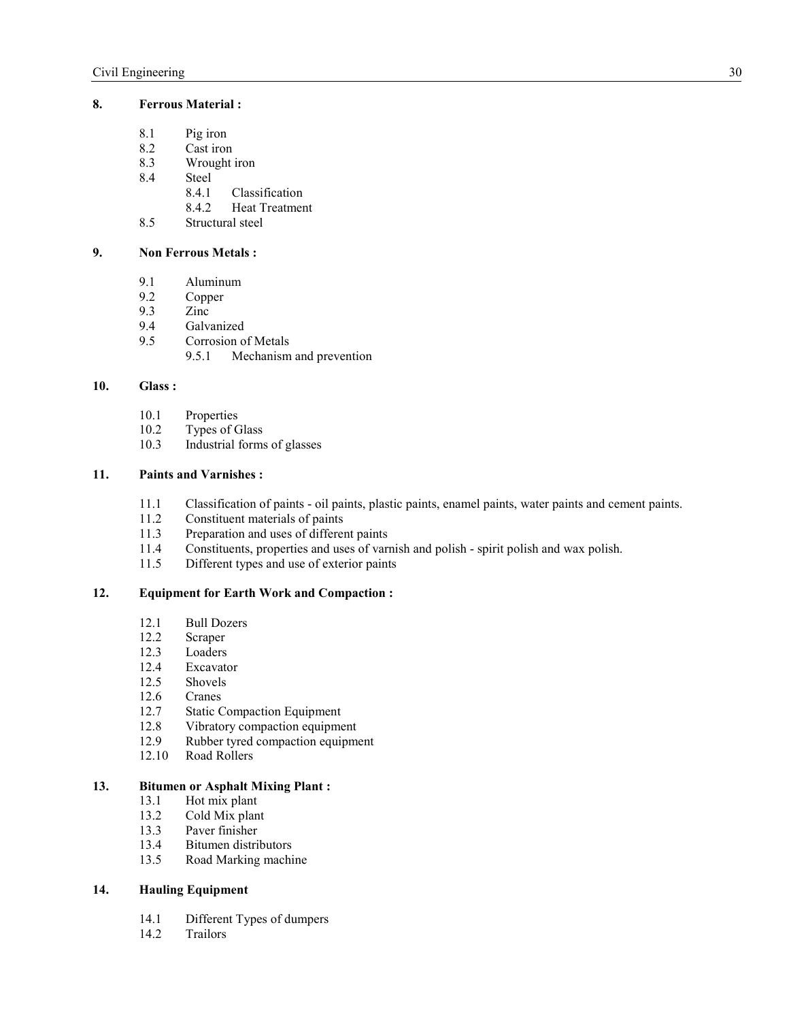## **8. Ferrous Material :**

- 8.1 Pig iron<br>8.2 Cast iron
- 8.2 Cast iron<br>8.3 Wrought
- 8.3 Wrought iron<br>8.4 Steel
- Steel<br>8.4.1
	- **Classification**
	- 8.4.2 Heat Treatment
- 8.5 Structural steel
- **9.** Non Ferrous Metals :
	- 9.1 Aluminum
	- 9.2 Copper<br>9.3 Zinc
	- 9.3 Zinc<br>9.4 Galva
	- 9.4 Galvanized<br>9.5 Corrosion o
	- Corrosion of Metals<br>9.5.1 Mechanism
		- Mechanism and prevention

## **10. Glass :**

- 10.1 Properties
- 10.2 Types of Glass<br>10.3 Industrial forms
- Industrial forms of glasses

## **11. Paints and Varnishes :**

- 11.1 Classification of paints oil paints, plastic paints, enamel paints, water paints and cement paints.<br>11.2 Constituent materials of paints
- 11.2 Constituent materials of paints<br>11.3 Preparation and uses of different
- Preparation and uses of different paints
- 11.4 Constituents, properties and uses of varnish and polish spirit polish and wax polish.
- 11.5 Different types and use of exterior paints

## **12. Equipment for Earth Work and Compaction :**

- 12.1 Bull Dozers<br>12.2 Scraper
- 
- 12.2 Scraper<br>12.3 Loaders
- 12.3 Loaders<br>12.4 Excavato 12.4 Excavator<br>12.5 Shovels
- Shovels
- 12.6 Cranes
- 12.7 Static Compaction Equipment
- 12.8 Vibratory compaction equipment<br>12.9 Rubber tyred compaction equipm
- Rubber tyred compaction equipment
- 12.10 Road Rollers

# **13. Bitumen or Asphalt Mixing Plant :** <br>13.1 Hot mix plant

- 13.1 Hot mix plant<br>13.2 Cold Mix plan
- Cold Mix plant
- 13.3 Paver finisher<br>13.4 Bitumen distri
- Bitumen distributors
- 13.5 Road Marking machine

## **14. Hauling Equipment**

- 14.1 Different Types of dumpers<br>14.2 Trailors
- **Trailors**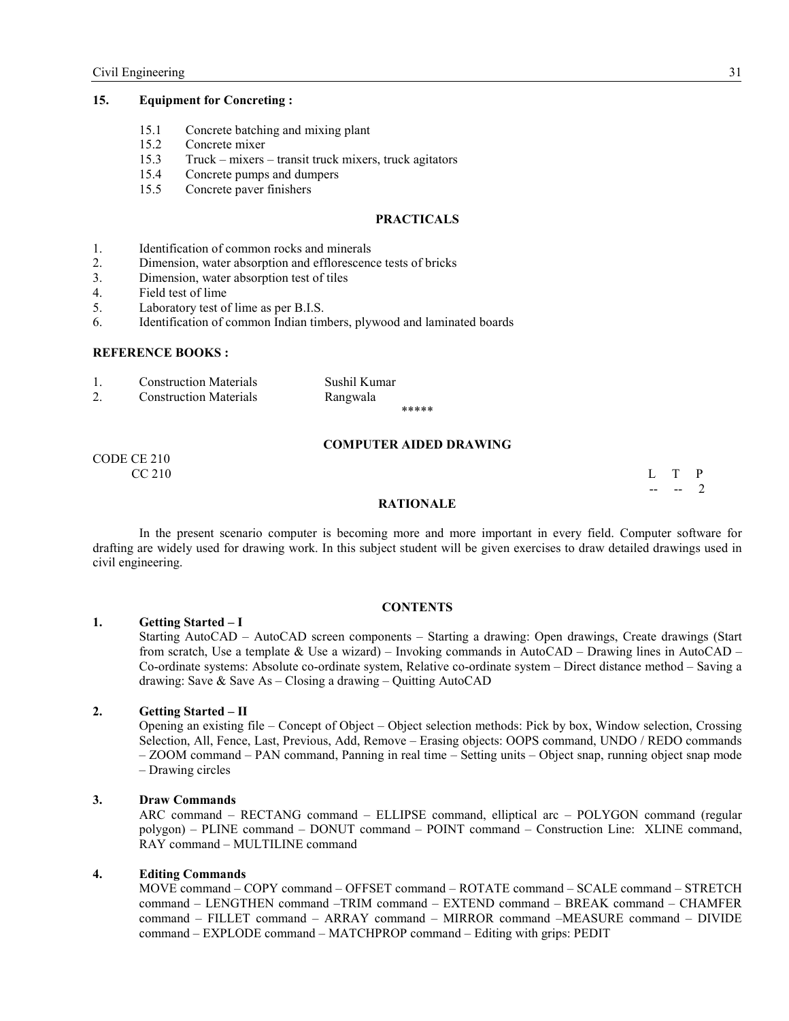## **15. Equipment for Concreting :**

- 15.1 Concrete batching and mixing plant
- 15.2 Concrete mixer
- 15.3 Truck mixers transit truck mixers, truck agitators
- 15.4 Concrete pumps and dumpers
- 15.5 Concrete paver finishers

#### **PRACTICALS**

- 1. Identification of common rocks and minerals
- 2. Dimension, water absorption and efflorescence tests of bricks
- 3. Dimension, water absorption test of tiles
- 4. Field test of lime
- 5. Laboratory test of lime as per B.I.S.
- 6. Identification of common Indian timbers, plywood and laminated boards

#### **REFERENCE BOOKS:**

1. Construction Materials Sushil Kumar 2. Construction Materials Rangwala

\*\*\*\*\*

#### **COMPUTER AIDED DRAWIG**

CODE CE 210  $CC 210$  L T P

 $-$  -- 2

#### **RATIOALE**

 In the present scenario computer is becoming more and more important in every field. Computer software for drafting are widely used for drawing work. In this subject student will be given exercises to draw detailed drawings used in civil engineering.

#### **CONTENTS**

#### **1. Getting Started – I**

Starting AutoCAD – AutoCAD screen components – Starting a drawing: Open drawings, Create drawings (Start from scratch, Use a template & Use a wizard) – Invoking commands in AutoCAD – Drawing lines in AutoCAD – Co-ordinate systems: Absolute co-ordinate system, Relative co-ordinate system – Direct distance method – Saving a drawing: Save & Save As – Closing a drawing – Quitting AutoCAD

#### **2. Getting Started – II**

Opening an existing file – Concept of Object – Object selection methods: Pick by box, Window selection, Crossing Selection, All, Fence, Last, Previous, Add, Remove – Erasing objects: OOPS command, UNDO / REDO commands – ZOOM command – PAN command, Panning in real time – Setting units – Object snap, running object snap mode – Drawing circles

#### **3. Draw Commands**

ARC command – RECTANG command – ELLIPSE command, elliptical arc – POLYGON command (regular polygon) – PLINE command – DONUT command – POINT command – Construction Line: XLINE command, RAY command – MULTILINE command

#### **4. Editing Commands**

MOVE command – COPY command – OFFSET command – ROTATE command – SCALE command – STRETCH command – LENGTHEN command –TRIM command – EXTEND command – BREAK command – CHAMFER command – FILLET command – ARRAY command – MIRROR command –MEASURE command – DIVIDE command – EXPLODE command – MATCHPROP command – Editing with grips: PEDIT